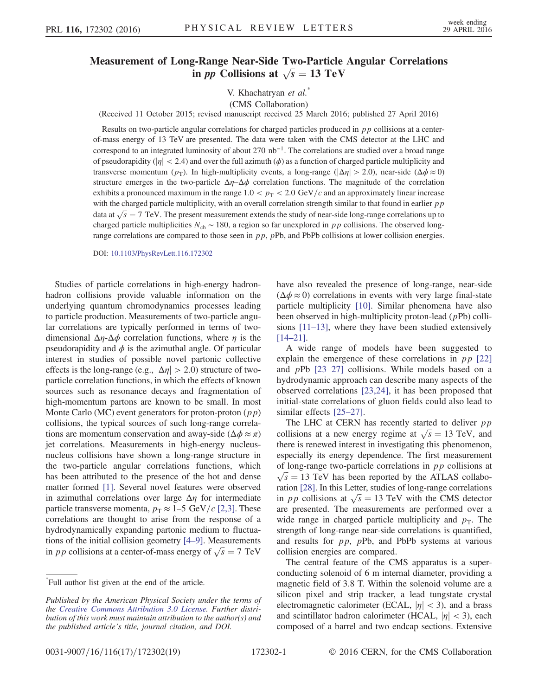## Measurement of Long-Range Near-Side Two-Particle Angular Correlations g-Range Near-Side Two-Particle<br>in *pp* Collisions at  $\sqrt{s} = 13 \text{ TeV}$

V. Khachatryan et al.\*

(CMS Collaboration)

(Received 11 October 2015; revised manuscript received 25 March 2016; published 27 April 2016)

Results on two-particle angular correlations for charged particles produced in  $p p$  collisions at a centerof-mass energy of 13 TeV are presented. The data were taken with the CMS detector at the LHC and correspond to an integrated luminosity of about 270 nb<sup>-1</sup>. The correlations are studied over a broad range of pseudorapidity ( $|\eta| < 2.4$ ) and over the full azimuth ( $\phi$ ) as a function of charged particle multiplicity and transverse momentum ( $p_T$ ). In high-multiplicity events, a long-range ( $|\Delta \eta| > 2.0$ ), near-side ( $\Delta \phi \approx 0$ ) structure emerges in the two-particle  $\Delta \eta - \Delta \phi$  correlation functions. The magnitude of the correlation exhibits a pronounced maximum in the range  $1.0 < p_T < 2.0$  GeV/c and an approximately linear increase with the charged particle multiplicity, with an overall correlation strength similar to that found in earlier  $pp$ with the charged particle multiplicity, with an overall correlation strength similar to that found in earlier  $pp$  data at  $\sqrt{s} = 7$  TeV. The present measurement extends the study of near-side long-range correlations up to charged particle multiplicities  $N_{ch} \sim 180$ , a region so far unexplored in pp collisions. The observed longrange correlations are compared to those seen in  $pp$ ,  $pPb$ , and PbPb collisions at lower collision energies.

DOI: [10.1103/PhysRevLett.116.172302](http://dx.doi.org/10.1103/PhysRevLett.116.172302)

Studies of particle correlations in high-energy hadronhadron collisions provide valuable information on the underlying quantum chromodynamics processes leading to particle production. Measurements of two-particle angular correlations are typically performed in terms of twodimensional  $\Delta \eta$ - $\Delta \phi$  correlation functions, where  $\eta$  is the pseudorapidity and  $\phi$  is the azimuthal angle. Of particular interest in studies of possible novel partonic collective effects is the long-range (e.g.,  $|\Delta \eta| > 2.0$ ) structure of twoparticle correlation functions, in which the effects of known sources such as resonance decays and fragmentation of high-momentum partons are known to be small. In most Monte Carlo (MC) event generators for proton-proton  $(p p)$ collisions, the typical sources of such long-range correlations are momentum conservation and away-side ( $\Delta \phi \approx \pi$ ) jet correlations. Measurements in high-energy nucleusnucleus collisions have shown a long-range structure in the two-particle angular correlations functions, which has been attributed to the presence of the hot and dense matter formed [\[1\].](#page-6-0) Several novel features were observed in azimuthal correlations over large  $\Delta \eta$  for intermediate particle transverse momenta,  $p_T \approx 1-5 \text{ GeV}/c$  [\[2,3\]](#page-6-1). These correlations are thought to arise from the response of a hydrodynamically expanding partonic medium to fluctuations of the initial collision geometry [4–[9\]](#page-6-2). Measurements tions of the initial collision geometry [4–9]. Measurements<br>in *p p* collisions at a center-of-mass energy of  $\sqrt{s} = 7$  TeV have also revealed the presence of long-range, near-side  $(\Delta \phi \approx 0)$  correlations in events with very large final-state particle multiplicity [\[10\].](#page-6-3) Similar phenomena have also been observed in high-multiplicity proton-lead  $(pPb)$  collisions [11–[13\],](#page-6-4) where they have been studied extensively [\[14](#page-6-5)–21].

A wide range of models have been suggested to explain the emergence of these correlations in  $pp$  [\[22\]](#page-6-6) and pPb [\[23](#page-6-7)–27] collisions. While models based on a hydrodynamic approach can describe many aspects of the observed correlations [\[23,24\]](#page-6-7), it has been proposed that initial-state correlations of gluon fields could also lead to similar effects [25–[27\]](#page-7-0).

The LHC at CERN has recently started to deliver  $pp$ The LHC at CERN has recently started to deliver pp collisions at a new energy regime at  $\sqrt{s} = 13$  TeV, and there is renewed interest in investigating this phenomenon, especially its energy dependence. The first measurement of long-range two-particle correlations in  $pp$  collisions at  $\sqrt{s}$  = 13 TeV has been reported by the ATLAS collaboration [\[28\].](#page-7-1) In this Letter, studies of long-range correlations ration [28]. In this Letter, studies of long-range correlations<br>in pp collisions at  $\sqrt{s} = 13$  TeV with the CMS detector are presented. The measurements are performed over a wide range in charged particle multiplicity and  $p<sub>T</sub>$ . The strength of long-range near-side correlations is quantified, and results for  $pp$ ,  $pPb$ , and PbPb systems at various collision energies are compared.

The central feature of the CMS apparatus is a superconducting solenoid of 6 m internal diameter, providing a magnetic field of 3.8 T. Within the solenoid volume are a silicon pixel and strip tracker, a lead tungstate crystal electromagnetic calorimeter (ECAL,  $|\eta| < 3$ ), and a brass and scintillator hadron calorimeter (HCAL,  $|\eta|$  < 3), each composed of a barrel and two endcap sections. Extensive

<sup>\*</sup> Full author list given at the end of the article.

Published by the American Physical Society under the terms of the [Creative Commons Attribution 3.0 License.](http://creativecommons.org/licenses/by/3.0/) Further distribution of this work must maintain attribution to the author(s) and the published article's title, journal citation, and DOI.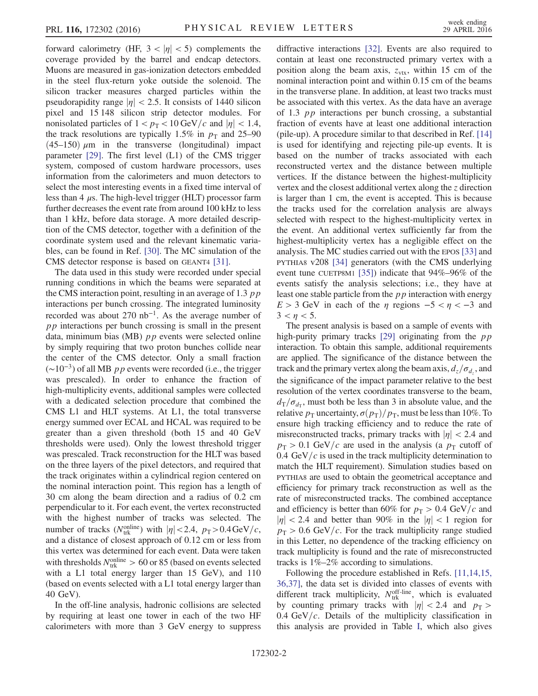forward calorimetry (HF,  $3 < |\eta| < 5$ ) complements the coverage provided by the barrel and endcap detectors. Muons are measured in gas-ionization detectors embedded in the steel flux-return yoke outside the solenoid. The silicon tracker measures charged particles within the pseudorapidity range  $|\eta|$  < 2.5. It consists of 1440 silicon pixel and 15 148 silicon strip detector modules. For nonisolated particles of  $1 < p_T < 10$  GeV/c and  $|\eta| < 1.4$ , the track resolutions are typically 1.5% in  $p<sub>T</sub>$  and 25–90  $(45-150)$   $\mu$ m in the transverse (longitudinal) impact parameter [\[29\]](#page-7-2). The first level (L1) of the CMS trigger system, composed of custom hardware processors, uses information from the calorimeters and muon detectors to select the most interesting events in a fixed time interval of less than 4  $\mu$ s. The high-level trigger (HLT) processor farm further decreases the event rate from around 100 kHz to less than 1 kHz, before data storage. A more detailed description of the CMS detector, together with a definition of the coordinate system used and the relevant kinematic variables, can be found in Ref. [\[30\]](#page-7-3). The MC simulation of the CMS detector response is based on GEANT4 [\[31\].](#page-7-4)

The data used in this study were recorded under special running conditions in which the beams were separated at the CMS interaction point, resulting in an average of 1.3  $pp$ interactions per bunch crossing. The integrated luminosity recorded was about 270 nb<sup>-1</sup>. As the average number of  $pp$  interactions per bunch crossing is small in the present data, minimum bias (MB)  $pp$  events were selected online by simply requiring that two proton bunches collide near the center of the CMS detector. Only a small fraction  $(\sim 10^{-3})$  of all MB pp events were recorded (i.e., the trigger was prescaled). In order to enhance the fraction of high-multiplicity events, additional samples were collected with a dedicated selection procedure that combined the CMS L1 and HLT systems. At L1, the total transverse energy summed over ECAL and HCAL was required to be greater than a given threshold (both 15 and 40 GeV thresholds were used). Only the lowest threshold trigger was prescaled. Track reconstruction for the HLT was based on the three layers of the pixel detectors, and required that the track originates within a cylindrical region centered on the nominal interaction point. This region has a length of 30 cm along the beam direction and a radius of 0.2 cm perpendicular to it. For each event, the vertex reconstructed with the highest number of tracks was selected. The number of tracks ( $N_{\text{trk}}^{\text{online}}$ ) with  $|\eta| < 2.4$ ,  $p_T > 0.4 \,\text{GeV}/c$ , and a distance of closest approach of 0.12 cm or less from this vertex was determined for each event. Data were taken with thresholds  $N_{\text{trk}}^{\text{online}} > 60$  or 85 (based on events selected with a L1 total energy larger than 15 GeV), and 110 (based on events selected with a L1 total energy larger than 40 GeV).

In the off-line analysis, hadronic collisions are selected by requiring at least one tower in each of the two HF calorimeters with more than 3 GeV energy to suppress diffractive interactions [\[32\].](#page-7-5) Events are also required to contain at least one reconstructed primary vertex with a position along the beam axis,  $z_{\text{vtx}}$ , within 15 cm of the nominal interaction point and within 0.15 cm of the beams in the transverse plane. In addition, at least two tracks must be associated with this vertex. As the data have an average of 1.3 pp interactions per bunch crossing, a substantial fraction of events have at least one additional interaction (pile-up). A procedure similar to that described in Ref. [\[14\]](#page-6-5) is used for identifying and rejecting pile-up events. It is based on the number of tracks associated with each reconstructed vertex and the distance between multiple vertices. If the distance between the highest-multiplicity vertex and the closest additional vertex along the z direction is larger than 1 cm, the event is accepted. This is because the tracks used for the correlation analysis are always selected with respect to the highest-multiplicity vertex in the event. An additional vertex sufficiently far from the highest-multiplicity vertex has a negligible effect on the analysis. The MC studies carried out with the EPOS [\[33\]](#page-7-6) and PYTHIA8 v208 [\[34\]](#page-7-7) generators (with the CMS underlying event tune CUETP8M1 [\[35\]](#page-7-8)) indicate that 94%–96% of the events satisfy the analysis selections; i.e., they have at least one stable particle from the pp interaction with energy  $E > 3$  GeV in each of the  $\eta$  regions  $-5 < \eta < -3$  and  $3 < n < 5$ .

The present analysis is based on a sample of events with high-purity primary tracks  $[29]$  originating from the  $pp$ interaction. To obtain this sample, additional requirements are applied. The significance of the distance between the track and the primary vertex along the beam axis,  $d_z/\sigma_{d_z}$ , and the significance of the impact parameter relative to the best resolution of the vertex coordinates transverse to the beam,  $d_{\text{T}}/\sigma_{d_{\text{T}}}$ , must both be less than 3 in absolute value, and the relative  $p_T$  uncertainty,  $\sigma(p_T)/p_T$ , must be less than 10%. To ensure high tracking efficiency and to reduce the rate of misreconstructed tracks, primary tracks with  $|\eta| < 2.4$  and  $p_T > 0.1$  GeV/c are used in the analysis (a  $p_T$  cutoff of 0.4 GeV/ $c$  is used in the track multiplicity determination to match the HLT requirement). Simulation studies based on PYTHIA8 are used to obtain the geometrical acceptance and efficiency for primary track reconstruction as well as the rate of misreconstructed tracks. The combined acceptance and efficiency is better than 60% for  $p_T > 0.4$  GeV/c and  $|\eta|$  < 2.4 and better than 90% in the  $|\eta|$  < 1 region for  $p_T > 0.6$  GeV/c. For the track multiplicity range studied in this Letter, no dependence of the tracking efficiency on track multiplicity is found and the rate of misreconstructed tracks is 1%–2% according to simulations.

Following the procedure established in Refs. [\[11,14,15,](#page-6-4) [36,37\],](#page-6-4) the data set is divided into classes of events with different track multiplicity,  $N_{\text{trk}}^{\text{off-line}}$ , which is evaluated by counting primary tracks with  $|\eta| < 2.4$  and  $p_T >$ 0.4 GeV/ $c$ . Details of the multiplicity classification in this analysis are provided in Table [I](#page-2-0), which also gives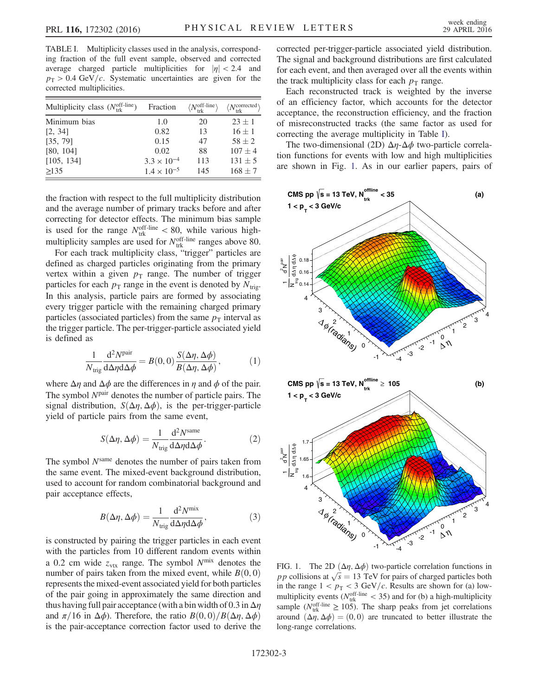<span id="page-2-0"></span>TABLE I. Multiplicity classes used in the analysis, corresponding fraction of the full event sample, observed and corrected average charged particle multiplicities for  $|\eta| < 2.4$  and  $p_T > 0.4$  GeV/c. Systematic uncertainties are given for the corrected multiplicities.

| Multiplicity class $(N_{\text{trk}}^{\text{off-line}})$ | Fraction             | $\langle N_{\rm trk}^{\rm off-line} \rangle$ | $\langle N_{\text{trk}}^{\text{corrected}} \rangle$ |
|---------------------------------------------------------|----------------------|----------------------------------------------|-----------------------------------------------------|
| Minimum bias                                            | 1.0                  | 20                                           | $23 + 1$                                            |
| [2, 34]                                                 | 0.82                 | 13                                           | $16 \pm 1$                                          |
| [35, 79]                                                | 0.15                 | 47                                           | $58 + 2$                                            |
| [80, 104]                                               | 0.02                 | 88                                           | $107 + 4$                                           |
| [105, 134]                                              | $3.3 \times 10^{-4}$ | 113                                          | $131 \pm 5$                                         |
| >135                                                    | $1.4 \times 10^{-5}$ | 145                                          | $168 + 7$                                           |

the fraction with respect to the full multiplicity distribution and the average number of primary tracks before and after correcting for detector effects. The minimum bias sample is used for the range  $N_{\text{trk}}^{\text{off-line}} < 80$ , while various highmultiplicity samples are used for  $N_{\text{trk}}^{\text{off-line}}$  ranges above 80.

For each track multiplicity class, "trigger" particles are defined as charged particles originating from the primary vertex within a given  $p_T$  range. The number of trigger particles for each  $p_T$  range in the event is denoted by  $N_{\text{trig}}$ . In this analysis, particle pairs are formed by associating every trigger particle with the remaining charged primary particles (associated particles) from the same  $p<sub>T</sub>$  interval as the trigger particle. The per-trigger-particle associated yield is defined as

$$
\frac{1}{N_{\text{trig}}} \frac{d^2 N^{\text{pair}}}{d \Delta \eta d \Delta \phi} = B(0, 0) \frac{S(\Delta \eta, \Delta \phi)}{B(\Delta \eta, \Delta \phi)}, \tag{1}
$$

where  $\Delta \eta$  and  $\Delta \phi$  are the differences in  $\eta$  and  $\phi$  of the pair. The symbol  $N<sup>pair</sup>$  denotes the number of particle pairs. The signal distribution,  $S(\Delta \eta, \Delta \phi)$ , is the per-trigger-particle yield of particle pairs from the same event,

$$
S(\Delta \eta, \Delta \phi) = \frac{1}{N_{\text{trig}}} \frac{d^2 N^{\text{same}}}{d \Delta \eta d \Delta \phi}.
$$
 (2)

The symbol  $N<sup>same</sup>$  denotes the number of pairs taken from the same event. The mixed-event background distribution, used to account for random combinatorial background and pair acceptance effects,

$$
B(\Delta \eta, \Delta \phi) = \frac{1}{N_{\text{trig}}} \frac{d^2 N^{\text{mix}}}{d \Delta \eta d \Delta \phi},
$$
(3)

is constructed by pairing the trigger particles in each event with the particles from 10 different random events within a 0.2 cm wide  $z_{\text{vtx}}$  range. The symbol  $N^{\text{mix}}$  denotes the number of pairs taken from the mixed event, while  $B(0, 0)$ represents the mixed-event associated yield for both particles of the pair going in approximately the same direction and thus having full pair acceptance (with a bin width of 0.3 in  $\Delta \eta$ and  $\pi/16$  in  $\Delta\phi$ ). Therefore, the ratio  $B(0,0)/B(\Delta\eta, \Delta\phi)$ is the pair-acceptance correction factor used to derive the corrected per-trigger-particle associated yield distribution. The signal and background distributions are first calculated for each event, and then averaged over all the events within the track multiplicity class for each  $p_T$  range.

Each reconstructed track is weighted by the inverse of an efficiency factor, which accounts for the detector acceptance, the reconstruction efficiency, and the fraction of misreconstructed tracks (the same factor as used for correcting the average multiplicity in Table [I](#page-2-0)).

The two-dimensional (2D)  $\Delta \eta$ - $\Delta \phi$  two-particle correlation functions for events with low and high multiplicities are shown in Fig. [1](#page-2-1). As in our earlier papers, pairs of

<span id="page-2-1"></span>

FIG. 1. The 2D  $(\Delta \eta, \Delta \phi)$  two-particle correlation functions in FIG. 1. The 2D ( $\Delta \eta$ ,  $\Delta \phi$ ) two-particle correlation functions in pp collisions at  $\sqrt{s} = 13$  TeV for pairs of charged particles both in the range  $1 < p_T < 3$  GeV/c. Results are shown for (a) lowmultiplicity events ( $N_{\text{trk}}^{\text{off-line}}$  < 35) and for (b) a high-multiplicity sample ( $N_{\text{trk}}^{\text{off-line}} \ge 105$ ). The sharp peaks from jet correlations around  $(\Delta \eta, \Delta \phi) = (0, 0)$  are truncated to better illustrate the long-range correlations.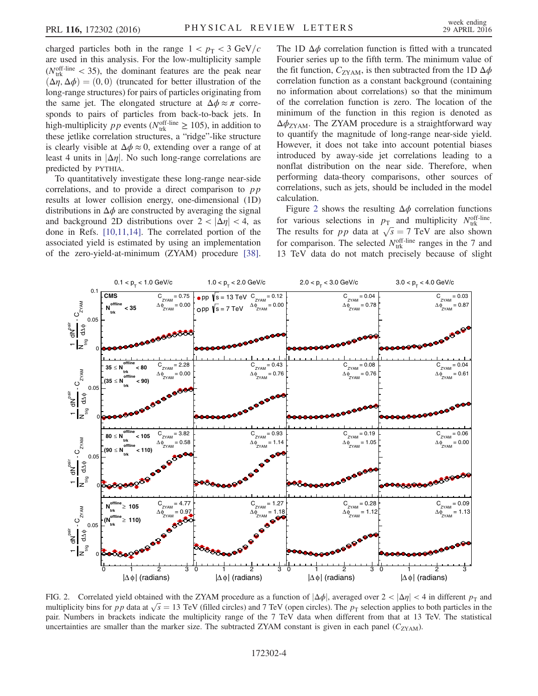charged particles both in the range  $1 < p_T < 3 \text{ GeV}/c$ are used in this analysis. For the low-multiplicity sample ( $N_{\text{trk}}^{\text{off-line}}$  < 35), the dominant features are the peak near  $(\Delta \eta, \Delta \phi) = (0, 0)$  (truncated for better illustration of the long-range structures) for pairs of particles originating from the same jet. The elongated structure at  $\Delta \phi \approx \pi$  corresponds to pairs of particles from back-to-back jets. In high-multiplicity *pp* events ( $N_{\text{trk}}^{\text{off-line}} \ge 105$ ), in addition to these jetlike correlation structures, a "ridge"-like structure is clearly visible at  $\Delta \phi \approx 0$ , extending over a range of at least 4 units in  $|\Delta \eta|$ . No such long-range correlations are predicted by PYTHIA.

To quantitatively investigate these long-range near-side correlations, and to provide a direct comparison to  $pp$ results at lower collision energy, one-dimensional (1D) distributions in  $\Delta \phi$  are constructed by averaging the signal and background 2D distributions over  $2 < |\Delta \eta| < 4$ , as done in Refs. [\[10,11,14\].](#page-6-3) The correlated portion of the associated yield is estimated by using an implementation of the zero-yield-at-minimum (ZYAM) procedure [\[38\]](#page-7-9).

The 1D  $\Delta \phi$  correlation function is fitted with a truncated Fourier series up to the fifth term. The minimum value of the fit function,  $C_{\text{ZYAM}}$ , is then subtracted from the 1D  $\Delta \phi$ correlation function as a constant background (containing no information about correlations) so that the minimum of the correlation function is zero. The location of the minimum of the function in this region is denoted as  $\Delta \phi_{\text{ZYAM}}$ . The ZYAM procedure is a straightforward way to quantify the magnitude of long-range near-side yield. However, it does not take into account potential biases introduced by away-side jet correlations leading to a nonflat distribution on the near side. Therefore, when performing data-theory comparisons, other sources of correlations, such as jets, should be included in the model calculation.

Figure [2](#page-3-0) shows the resulting  $\Delta \phi$  correlation functions for various selections in  $p_{\text{T}}$  and multiplicity  $N_{\text{trk}}^{\text{off-line}}$ . The results for *pp* data at  $\sqrt{s} = 7$  TeV are also shown for comparison. The selected  $N_{\text{trk}}^{\text{off-line}}$  ranges in the 7 and 13 TeV data do not match precisely because of slight

<span id="page-3-0"></span>

FIG. 2. Correlated yield obtained with the ZYAM procedure as a function of  $|\Delta \phi|$ , averaged over  $2 < |\Delta \eta| < 4$  in different  $p_T$  and FIG. 2. Correlated yield obtained with the ZYAM procedure as a function of  $|\Delta \phi|$ , averaged over  $2 < |\Delta \eta| < 4$  in different  $p_T$  and multiplicity bins for pp data at  $\sqrt{s} = 13$  TeV (filled circles) and 7 TeV (open circles pair. Numbers in brackets indicate the multiplicity range of the 7 TeV data when different from that at 13 TeV. The statistical uncertainties are smaller than the marker size. The subtracted ZYAM constant is given in each panel  $(C_{ZYAM})$ .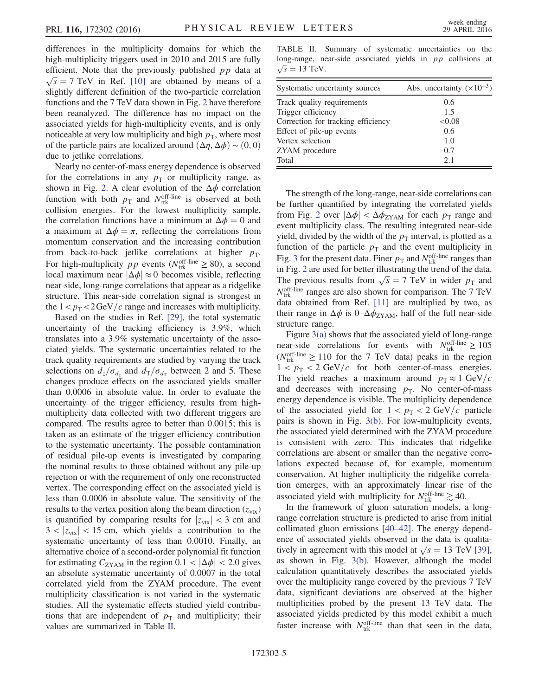differences in the multiplicity domains for which the high-multiplicity triggers used in 2010 and 2015 are fully efficient. Note that the previously published  $pp$  data at  $\sqrt{s}$  = 7 TeV in Ref. [\[10\]](#page-6-3) are obtained by means of a slightly different definition of the two-particle correlation functions and the 7 TeV data shown in Fig. [2](#page-3-0) have therefore been reanalyzed. The difference has no impact on the associated yields for high-multiplicity events, and is only noticeable at very low multiplicity and high  $p<sub>T</sub>$ , where most of the particle pairs are localized around  $(\Delta \eta, \Delta \phi) \sim (0, 0)$ due to jetlike correlations.

Nearly no center-of-mass energy dependence is observed for the correlations in any  $p<sub>T</sub>$  or multiplicity range, as shown in Fig. [2.](#page-3-0) A clear evolution of the  $\Delta \phi$  correlation function with both  $p_T$  and  $N_{\text{trk}}^{\text{off-line}}$  is observed at both collision energies. For the lowest multiplicity sample, the correlation functions have a minimum at  $\Delta \phi = 0$  and a maximum at  $\Delta \phi = \pi$ , reflecting the correlations from momentum conservation and the increasing contribution from back-to-back jetlike correlations at higher  $p_T$ . For high-multiplicity *pp* events ( $N_{\text{trk}}^{\text{off-line}} \ge 80$ ), a second local maximum near  $|\Delta \phi| \approx 0$  becomes visible, reflecting near-side, long-range correlations that appear as a ridgelike structure. This near-side correlation signal is strongest in the  $1 < p_T < 2 \text{GeV}/c$  range and increases with multiplicity.

Based on the studies in Ref. [\[29\]](#page-7-2), the total systematic uncertainty of the tracking efficiency is 3.9%, which translates into a 3.9% systematic uncertainty of the associated yields. The systematic uncertainties related to the track quality requirements are studied by varying the track selections on  $d_z/\sigma_{d_z}$  and  $d_T/\sigma_{d_T}$  between 2 and 5. These changes produce effects on the associated yields smaller than 0.0006 in absolute value. In order to evaluate the uncertainty of the trigger efficiency, results from highmultiplicity data collected with two different triggers are compared. The results agree to better than 0.0015; this is taken as an estimate of the trigger efficiency contribution to the systematic uncertainty. The possible contamination of residual pile-up events is investigated by comparing the nominal results to those obtained without any pile-up rejection or with the requirement of only one reconstructed vertex. The corresponding effect on the associated yield is less than 0.0006 in absolute value. The sensitivity of the results to the vertex position along the beam direction  $(z_{\text{vtx}})$ is quantified by comparing results for  $|z_{\text{vtx}}| < 3$  cm and  $3 < |z_{\text{vtx}}| < 15$  cm, which yields a contribution to the systematic uncertainty of less than 0.0010. Finally, an alternative choice of a second-order polynomial fit function for estimating  $C_{\text{ZYAM}}$  in the region  $0.1 < |\Delta \phi| < 2.0$  gives an absolute systematic uncertainty of 0.0007 in the total correlated yield from the ZYAM procedure. The event multiplicity classification is not varied in the systematic studies. All the systematic effects studied yield contributions that are independent of  $p<sub>T</sub>$  and multiplicity; their values are summarized in Table [II.](#page-4-0)

<span id="page-4-0"></span>TABLE II. Summary of systematic uncertainties on the long-range, near-side associated yields in  $pp$  collisions at  $\sqrt{s}$  = 13 TeV.

| Systematic uncertainty sources     | Abs. uncertainty $(\times 10^{-3})$ |
|------------------------------------|-------------------------------------|
| Track quality requirements         | 0.6                                 |
| Trigger efficiency                 | 1.5                                 |
| Correction for tracking efficiency | < 0.08                              |
| Effect of pile-up events           | 0.6                                 |
| Vertex selection                   | 1.0                                 |
| ZYAM procedure                     | 0.7                                 |
| Total                              | 2.1                                 |

The strength of the long-range, near-side correlations can be further quantified by integrating the correlated yields from Fig. [2](#page-3-0) over  $|\Delta \phi| < \Delta \phi_{ZYAM}$  for each  $p_T$  range and event multiplicity class. The resulting integrated near-side yield, divided by the width of the  $p<sub>T</sub>$  interval, is plotted as a function of the particle  $p<sub>T</sub>$  and the event multiplicity in Fig. [3](#page-5-0) for the present data. Finer  $p_T$  and  $N_{\text{trk}}^{\text{off-line}}$  ranges than in Fig. [2](#page-3-0) are used for better illustrating the trend of the data. In Fig. 2 are used for better illustrating the trend of the data.<br>The previous results from  $\sqrt{s} = 7$  TeV in wider  $p_T$  and  $N_{\text{trk}}^{\text{off-line}}$  ranges are also shown for comparison. The 7 TeV data obtained from Ref. [\[11\]](#page-6-4) are multiplied by two, as their range in  $\Delta \phi$  is 0– $\Delta \phi$ <sub>ZYAM</sub>, half of the full near-side structure range.

Figure [3\(a\)](#page-5-0) shows that the associated yield of long-range near-side correlations for events with  $N_{\text{trk}}^{\text{off-line}} \ge 105$  $(N_{\text{trk}}^{\text{off-line}} \ge 110)$  for the 7 TeV data) peaks in the region  $1 < p_T < 2$  GeV/c for both center-of-mass energies. The yield reaches a maximum around  $p<sub>T</sub> \approx 1 \text{ GeV}/c$ and decreases with increasing  $p<sub>T</sub>$ . No center-of-mass energy dependence is visible. The multiplicity dependence of the associated yield for  $1 < p<sub>T</sub> < 2$  GeV/c particle pairs is shown in Fig. [3\(b\).](#page-5-0) For low-multiplicity events, the associated yield determined with the ZYAM procedure is consistent with zero. This indicates that ridgelike correlations are absent or smaller than the negative correlations expected because of, for example, momentum conservation. At higher multiplicity the ridgelike correlation emerges, with an approximately linear rise of the associated yield with multiplicity for  $N_{\text{trk}}^{\text{off-line}} \gtrsim 40$ .

In the framework of gluon saturation models, a longrange correlation structure is predicted to arise from initial collimated gluon emissions [40–[42\].](#page-7-10) The energy dependence of associated yields observed in the data is qualitaence of associated yields observed in the data is qualitatively in agreement with this model at  $\sqrt{s} = 13$  TeV [\[39\]](#page-7-11), as shown in Fig. [3\(b\)](#page-5-0). However, although the model calculation quantitatively describes the associated yields over the multiplicity range covered by the previous 7 TeV data, significant deviations are observed at the higher multiplicities probed by the present 13 TeV data. The associated yields predicted by this model exhibit a much faster increase with  $N_{\text{trk}}^{\text{off-line}}$  than that seen in the data,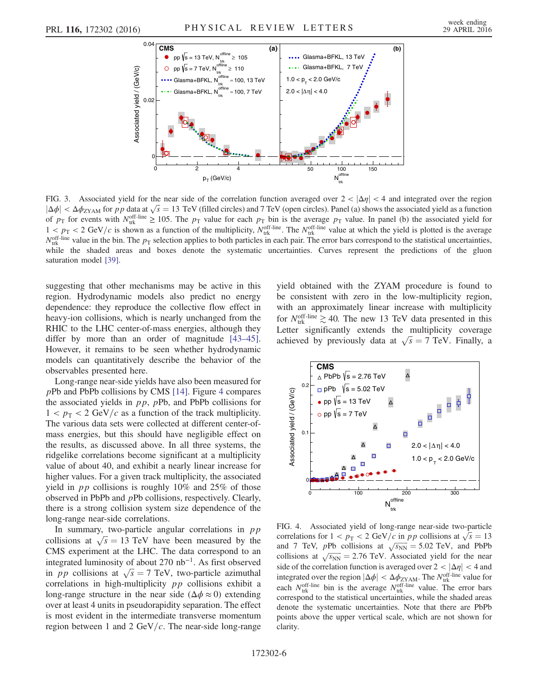<span id="page-5-0"></span>

FIG. 3. Associated yield for the near side of the correlation function averaged over  $2 < |\Delta \eta| < 4$  and integrated over the region FIG. 3. Associated yield for the near side of the correlation function averaged over  $2 < |\Delta \eta| < 4$  and integrated over the region  $|\Delta \phi| < \Delta \phi_{ZYAM}$  for pp data at  $\sqrt{s} = 13$  TeV (filled circles) and 7 TeV (open circles). P of  $p_T$  for events with  $N_{\text{trk}}^{\text{off-line}} \ge 105$ . The  $p_T$  value for each  $p_T$  bin is the average  $p_T$  value. In panel (b) the associated yield for  $1 < p_T < 2$  GeV/c is shown as a function of the multiplicity,  $N_{\text{trk}}^{\text{off-line}}$ . The  $N_{\text{trk}}^{\text{off-line}}$  value at which the yield is plotted is the average  $N_{\text{trk}}^{\text{off-line}}$  value in the bin. The  $p_{\text{T}}$  selection applies to both particles in each pair. The error bars correspond to the statistical uncertainties, while the shaded areas and boxes denote the systematic uncertainties. Curves represent the predictions of the gluon saturation model [\[39\].](#page-7-11)

suggesting that other mechanisms may be active in this region. Hydrodynamic models also predict no energy dependence: they reproduce the collective flow effect in heavy-ion collisions, which is nearly unchanged from the RHIC to the LHC center-of-mass energies, although they differ by more than an order of magnitude [\[43](#page-7-12)–45]. However, it remains to be seen whether hydrodynamic models can quantitatively describe the behavior of the observables presented here.

Long-range near-side yields have also been measured for pPb and PbPb collisions by CMS [\[14\].](#page-6-5) Figure [4](#page-5-1) compares the associated yields in  $pp$ ,  $pPb$ , and PbPb collisions for  $1 < p<sub>T</sub> < 2 \text{ GeV}/c$  as a function of the track multiplicity. The various data sets were collected at different center-ofmass energies, but this should have negligible effect on the results, as discussed above. In all three systems, the ridgelike correlations become significant at a multiplicity value of about 40, and exhibit a nearly linear increase for higher values. For a given track multiplicity, the associated yield in  $pp$  collisions is roughly 10% and 25% of those observed in PbPb and pPb collisions, respectively. Clearly, there is a strong collision system size dependence of the long-range near-side correlations.

In summary, two-particle angular correlations in  $pp$ In summary, two-particle angular correlations in pp<br>collisions at  $\sqrt{s} = 13$  TeV have been measured by the CMS experiment at the LHC. The data correspond to an integrated luminosity of about 270  $nb^{-1}$ . As first observed integrated luminosity of about 270 nb<sup>-1</sup>. As first observed<br>in pp collisions at  $\sqrt{s} = 7$  TeV, two-particle azimuthal correlations in high-multiplicity pp collisions exhibit a long-range structure in the near side ( $\Delta \phi \approx 0$ ) extending over at least 4 units in pseudorapidity separation. The effect is most evident in the intermediate transverse momentum region between 1 and 2 GeV/ $c$ . The near-side long-range yield obtained with the ZYAM procedure is found to be consistent with zero in the low-multiplicity region, with an approximately linear increase with multiplicity for  $N_{\text{trk}}^{\text{off-line}} \gtrsim 40$ . The new 13 TeV data presented in this Letter significantly extends the multiplicity coverage Letter significantly extends the multiplicity coverage<br>achieved by previously data at  $\sqrt{s} = 7$  TeV. Finally, a

<span id="page-5-1"></span>

FIG. 4. Associated yield of long-range near-side two-particle FIG. 4. Associated yield of long-range near-side two-particle<br>correlations for  $1 < p_T < 2$  GeV/c in pp collisions at  $\sqrt{s} = 13$ correlations for  $1 < p_{\text{T}} < 2 \text{ GeV}/c$  in *pp* collisions at  $\sqrt{s} = 13$ <br>and 7 TeV, *pPb* collisions at  $\sqrt{s_{\text{NN}}} = 5.02 \text{ TeV}$ , and PbPb and 7 Tev, pro consions at  $\sqrt{s_{NN}} = 3.02$  Tev, and PbPb<br>collisions at  $\sqrt{s_{NN}} = 2.76$  TeV. Associated yield for the near side of the correlation function is averaged over  $2 < |\Delta \eta| < 4$  and integrated over the region  $|\Delta \phi| < \Delta \phi_{\text{ZYAM}}$ . The  $N_{\text{tr}}^{\text{off-line}}$  value for each  $N_{\text{trk}}^{\text{off-line}}$  bin is the average  $N_{\text{trk}}^{\text{off-line}}$  value. The error bars correspond to the statistical uncertainties, while the shaded areas denote the systematic uncertainties. Note that there are PbPb points above the upper vertical scale, which are not shown for clarity.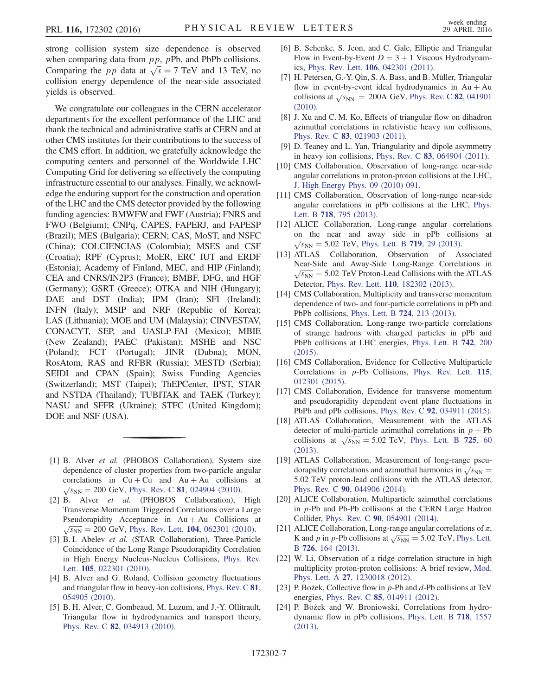strong collision system size dependence is observed when comparing data from  $pp$ ,  $pPb$ , and PbPb collisions. when comparing data from pp, pPb, and PbPb collisions.<br>Comparing the pp data at  $\sqrt{s} = 7$  TeV and 13 TeV, no collision energy dependence of the near-side associated yields is observed.

We congratulate our colleagues in the CERN accelerator departments for the excellent performance of the LHC and thank the technical and administrative staffs at CERN and at other CMS institutes for their contributions to the success of the CMS effort. In addition, we gratefully acknowledge the computing centers and personnel of the Worldwide LHC Computing Grid for delivering so effectively the computing infrastructure essential to our analyses. Finally, we acknowledge the enduring support for the construction and operation of the LHC and the CMS detector provided by the following funding agencies: BMWFW and FWF (Austria); FNRS and FWO (Belgium); CNPq, CAPES, FAPERJ, and FAPESP (Brazil); MES (Bulgaria); CERN; CAS, MoST, and NSFC (China); COLCIENCIAS (Colombia); MSES and CSF (Croatia); RPF (Cyprus); MoER, ERC IUT and ERDF (Estonia); Academy of Finland, MEC, and HIP (Finland); CEA and CNRS/IN2P3 (France); BMBF, DFG, and HGF (Germany); GSRT (Greece); OTKA and NIH (Hungary); DAE and DST (India); IPM (Iran); SFI (Ireland); INFN (Italy); MSIP and NRF (Republic of Korea); LAS (Lithuania); MOE and UM (Malaysia); CINVESTAV, CONACYT, SEP, and UASLP-FAI (Mexico); MBIE (New Zealand); PAEC (Pakistan); MSHE and NSC (Poland); FCT (Portugal); JINR (Dubna); MON, RosAtom, RAS and RFBR (Russia); MESTD (Serbia); SEIDI and CPAN (Spain); Swiss Funding Agencies (Switzerland); MST (Taipei); ThEPCenter, IPST, STAR and NSTDA (Thailand); TUBITAK and TAEK (Turkey); NASU and SFFR (Ukraine); STFC (United Kingdom); DOE and NSF (USA).

- <span id="page-6-0"></span>[1] B. Alver et al. (PHOBOS Collaboration), System size dependence of cluster properties from two-particle angular correlations in  $Cu + Cu$  and  $Au + Au$  collisions at  $\sqrt{s_{NN}}$  = 200 GeV, Phys. Rev. C **81**[, 024904 \(2010\).](http://dx.doi.org/10.1103/PhysRevC.81.024904)
- <span id="page-6-1"></span>[2] B. Alver et al. (PHOBOS Collaboration), High Transverse Momentum Triggered Correlations over a Large Pseudorapidity Acceptance in  $Au + Au$  Collisions at  $\sqrt{s_{NN}}$  = 200 GeV, Phys. Rev. Lett. 104[, 062301 \(2010\)](http://dx.doi.org/10.1103/PhysRevLett.104.062301).
- [3] B. I. Abelev et al. (STAR Collaboration), Three-Particle Coincidence of the Long Range Pseudorapidity Correlation in High Energy Nucleus-Nucleus Collisions, [Phys. Rev.](http://dx.doi.org/10.1103/PhysRevLett.105.022301) Lett. 105[, 022301 \(2010\)](http://dx.doi.org/10.1103/PhysRevLett.105.022301).
- <span id="page-6-2"></span>[4] B. Alver and G. Roland, Collision geometry fluctuations and triangular flow in heavy-ion collisions, [Phys. Rev. C](http://dx.doi.org/10.1103/PhysRevC.81.054905) 81, [054905 \(2010\).](http://dx.doi.org/10.1103/PhysRevC.81.054905)
- [5] B. H. Alver, C. Gombeaud, M. Luzum, and J.-Y. Ollitrault, Triangular flow in hydrodynamics and transport theory, Phys. Rev. C 82[, 034913 \(2010\).](http://dx.doi.org/10.1103/PhysRevC.82.034913)
- [6] B. Schenke, S. Jeon, and C. Gale, Elliptic and Triangular Flow in Event-by-Event  $D = 3 + 1$  Viscous Hydrodynamics, Phys. Rev. Lett. 106[, 042301 \(2011\).](http://dx.doi.org/10.1103/PhysRevLett.106.042301)
- [7] H. Petersen, G.-Y. Qin, S. A. Bass, and B. Müller, Triangular flow in event-by-event ideal hydrodynamics in  $Au + Au$ flow in event-by-event ideal hydrodynamics in Au + Au collisions at  $\sqrt{s_{NN}}$  = 200A GeV, [Phys. Rev. C](http://dx.doi.org/10.1103/PhysRevC.82.041901) **82**, 041901 [\(2010\).](http://dx.doi.org/10.1103/PhysRevC.82.041901)
- [8] J. Xu and C. M. Ko, Effects of triangular flow on dihadron azimuthal correlations in relativistic heavy ion collisions, Phys. Rev. C 83[, 021903 \(2011\).](http://dx.doi.org/10.1103/PhysRevC.83.021903)
- [9] D. Teaney and L. Yan, Triangularity and dipole asymmetry in heavy ion collisions, Phys. Rev. C 83[, 064904 \(2011\).](http://dx.doi.org/10.1103/PhysRevC.83.064904)
- <span id="page-6-3"></span>[10] CMS Collaboration, Observation of long-range near-side angular correlations in proton-proton collisions at the LHC, [J. High Energy Phys. 09 \(2010\) 091.](http://dx.doi.org/10.1007/JHEP09(2010)091)
- <span id="page-6-4"></span>[11] CMS Collaboration, Observation of long-range near-side angular correlations in pPb collisions at the LHC, [Phys.](http://dx.doi.org/10.1016/j.physletb.2012.11.025) Lett. B 718[, 795 \(2013\).](http://dx.doi.org/10.1016/j.physletb.2012.11.025)
- [12] ALICE Collaboration, Long-range angular correlations on the near and away side in pPb collisions at  $\sqrt{s_{NN}}$  = 5.02 TeV, [Phys. Lett. B](http://dx.doi.org/10.1016/j.physletb.2013.01.012) 719, 29 (2013).
- [13] ATLAS Collaboration, Observation of Associated Near-Side and Away-Side Long-Range Correlations in  $\sqrt{s_{NN}}$  = 5.02 TeV Proton-Lead Collisions with the ATLAS Detector, Phys. Rev. Lett. 110[, 182302 \(2013\)](http://dx.doi.org/10.1103/PhysRevLett.110.182302).
- <span id="page-6-5"></span>[14] CMS Collaboration, Multiplicity and transverse momentum dependence of two- and four-particle correlations in pPb and PbPb collisions, [Phys. Lett. B](http://dx.doi.org/10.1016/j.physletb.2013.06.028) 724, 213 (2013).
- [15] CMS Collaboration, Long-range two-particle correlations of strange hadrons with charged particles in pPb and PbPb collisions at LHC energies, [Phys. Lett. B](http://dx.doi.org/10.1016/j.physletb.2015.01.034) 742, 200 [\(2015\).](http://dx.doi.org/10.1016/j.physletb.2015.01.034)
- [16] CMS Collaboration, Evidence for Collective Multiparticle Correlations in p-Pb Collisions, [Phys. Rev. Lett.](http://dx.doi.org/10.1103/PhysRevLett.115.012301) 115, [012301 \(2015\).](http://dx.doi.org/10.1103/PhysRevLett.115.012301)
- [17] CMS Collaboration, Evidence for transverse momentum and pseudorapidity dependent event plane fluctuations in PbPb and pPb collisions, Phys. Rev. C 92[, 034911 \(2015\).](http://dx.doi.org/10.1103/PhysRevC.92.034911)
- [18] ATLAS Collaboration, Measurement with the ATLAS detector of multi-particle azimuthal correlations in  $p + Pb$ detector or multi-particle azimuthal correlations in  $p + Pb$ <br>collisions at  $\sqrt{s_{NN}} = 5.02$  TeV, [Phys. Lett. B](http://dx.doi.org/10.1016/j.physletb.2013.06.057) 725, 60 [\(2013\).](http://dx.doi.org/10.1016/j.physletb.2013.06.057)
- [19] ATLAS Collaboration, Measurement of long-range pseu-ATLAS Collaboration, Measurement of long-range pseudorapidity correlations and azimuthal harmonics in  $\sqrt{s_{NN}}$  = 5.02 TeV proton-lead collisions with the ATLAS detector, Phys. Rev. C 90[, 044906 \(2014\).](http://dx.doi.org/10.1103/PhysRevC.90.044906)
- [20] ALICE Collaboration, Multiparticle azimuthal correlations in p-Pb and Pb-Pb collisions at the CERN Large Hadron Collider, Phys. Rev. C 90[, 054901 \(2014\)](http://dx.doi.org/10.1103/PhysRevC.90.054901).
- [21] ALICE Collaboration, Long-range angular correlations of  $\pi$ , ALICE Collaboration, Long-range angular correlations of  $\pi$ ,<br>K and p in p-Pb collisions at  $\sqrt{s_{NN}} = 5.02$  TeV, [Phys. Lett.](http://dx.doi.org/10.1016/j.physletb.2013.08.024) B 726[, 164 \(2013\)](http://dx.doi.org/10.1016/j.physletb.2013.08.024).
- <span id="page-6-6"></span>[22] W. Li, Observation of a ridge correlation structure in high multiplicity proton-proton collisions: A brief review, [Mod.](http://dx.doi.org/10.1142/S0217732312300182) Phys. Lett. A 27[, 1230018 \(2012\).](http://dx.doi.org/10.1142/S0217732312300182)
- <span id="page-6-7"></span>[23] P. Bożek, Collective flow in p-Pb and d-Pb collisions at TeV energies, Phys. Rev. C 85[, 014911 \(2012\).](http://dx.doi.org/10.1103/PhysRevC.85.014911)
- [24] P. Bożek and W. Broniowski, Correlations from hydrodynamic flow in pPb collisions, [Phys. Lett. B](http://dx.doi.org/10.1016/j.physletb.2012.12.051) 718, 1557 [\(2013\)](http://dx.doi.org/10.1016/j.physletb.2012.12.051).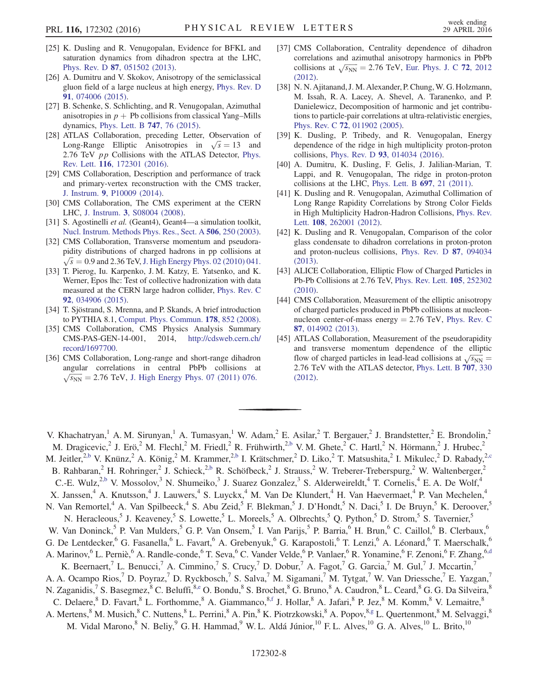- <span id="page-7-0"></span>[25] K. Dusling and R. Venugopalan, Evidence for BFKL and saturation dynamics from dihadron spectra at the LHC, Phys. Rev. D 87[, 051502 \(2013\)](http://dx.doi.org/10.1103/PhysRevD.87.051502).
- [26] A. Dumitru and V. Skokov, Anisotropy of the semiclassical gluon field of a large nucleus at high energy, [Phys. Rev. D](http://dx.doi.org/10.1103/PhysRevD.91.074006) 91[, 074006 \(2015\).](http://dx.doi.org/10.1103/PhysRevD.91.074006)
- [27] B. Schenke, S. Schlichting, and R. Venugopalan, Azimuthal anisotropies in  $p + Pb$  collisions from classical Yang–Mills dynamics, [Phys. Lett. B](http://dx.doi.org/10.1016/j.physletb.2015.05.051) 747, 76 (2015).
- <span id="page-7-1"></span>[28] ATLAS Collaboration, preceding Letter, Observation of ATLAS Collaboration, preceding Letter, Observation of<br>Long-Range Elliptic Anisotropies in  $\sqrt{s} = 13$  and 2.76 TeV *pp* Collisions with the ATLAS Detector, [Phys.](http://dx.doi.org/10.1103/PhysRevLett.116.172301) Rev. Lett. 116[, 172301 \(2016\).](http://dx.doi.org/10.1103/PhysRevLett.116.172301)
- <span id="page-7-2"></span>[29] CMS Collaboration, Description and performance of track and primary-vertex reconstruction with the CMS tracker, J. Instrum. 9[, P10009 \(2014\)](http://dx.doi.org/10.1088/1748-0221/9/10/P10009).
- <span id="page-7-3"></span>[30] CMS Collaboration, The CMS experiment at the CERN LHC, J. Instrum. 3[, S08004 \(2008\).](http://dx.doi.org/10.1088/1748-0221/3/08/S08004)
- <span id="page-7-4"></span>[31] S. Agostinelli et al. (Geant4), Geant4—a simulation toolkit, [Nucl. Instrum. Methods Phys. Res., Sect. A](http://dx.doi.org/10.1016/S0168-9002(03)01368-8) 506, 250 (2003).
- <span id="page-7-5"></span>[32] CMS Collaboration, Transverse momentum and pseudorapidity distributions of charged hadrons in pp collisions at  $\sqrt{s}$  = 0.9 and 2.36 TeV, [J. High Energy Phys. 02 \(2010\) 041.](http://dx.doi.org/10.1007/JHEP02(2010)041)
- <span id="page-7-6"></span>[33] T. Pierog, Iu. Karpenko, J. M. Katzy, E. Yatsenko, and K. Werner, Epos lhc: Test of collective hadronization with data measured at the CERN large hadron collider, [Phys. Rev. C](http://dx.doi.org/10.1103/PhysRevC.92.034906) 92[, 034906 \(2015\).](http://dx.doi.org/10.1103/PhysRevC.92.034906)
- <span id="page-7-7"></span>[34] T. Sjöstrand, S. Mrenna, and P. Skands, A brief introduction to PYTHIA 8.1, [Comput. Phys. Commun.](http://dx.doi.org/10.1016/j.cpc.2008.01.036) 178, 852 (2008).
- <span id="page-7-8"></span>[35] CMS Collaboration, CMS Physics Analysis Summary CMS-PAS-GEN-14-001, 2014, [http://cdsweb.cern.ch/](http://cdsweb.cern.ch/record/1697700) [record/1697700.](http://cdsweb.cern.ch/record/1697700)
- [36] CMS Collaboration, Long-range and short-range dihadron angular correlations in central PbPb collisions at  $\sqrt{s_{NN}}$  = 2.76 TeV, [J. High Energy Phys. 07 \(2011\) 076.](http://dx.doi.org/10.1007/JHEP07(2011)076)
- [37] CMS Collaboration, Centrality dependence of dihadron correlations and azimuthal anisotropy harmonics in PbPb correlations and azimuthal anisotropy harmonics in PbPb collisions at  $\sqrt{s_{NN}}$  = 2.76 TeV, [Eur. Phys. J. C](http://dx.doi.org/10.1140/epjc/s10052-012-2012-3) 72, 2012 [\(2012\).](http://dx.doi.org/10.1140/epjc/s10052-012-2012-3)
- <span id="page-7-9"></span>[38] N. N. Ajitanand, J. M. Alexander, P. Chung, W. G. Holzmann, M. Issah, R. A. Lacey, A. Shevel, A. Taranenko, and P. Danielewicz, Decomposition of harmonic and jet contributions to particle-pair correlations at ultra-relativistic energies, Phys. Rev. C 72[, 011902 \(2005\)](http://dx.doi.org/10.1103/PhysRevC.72.011902).
- <span id="page-7-11"></span>[39] K. Dusling, P. Tribedy, and R. Venugopalan, Energy dependence of the ridge in high multiplicity proton-proton collisions, Phys. Rev. D 93[, 014034 \(2016\)](http://dx.doi.org/10.1103/PhysRevD.93.014034).
- <span id="page-7-10"></span>[40] A. Dumitru, K. Dusling, F. Gelis, J. Jalilian-Marian, T. Lappi, and R. Venugopalan, The ridge in proton-proton collisions at the LHC, [Phys. Lett. B](http://dx.doi.org/10.1016/j.physletb.2011.01.024) 697, 21 (2011).
- [41] K. Dusling and R. Venugopalan, Azimuthal Collimation of Long Range Rapidity Correlations by Strong Color Fields in High Multiplicity Hadron-Hadron Collisions, [Phys. Rev.](http://dx.doi.org/10.1103/PhysRevLett.108.262001) Lett. 108[, 262001 \(2012\)](http://dx.doi.org/10.1103/PhysRevLett.108.262001).
- [42] K. Dusling and R. Venugopalan, Comparison of the color glass condensate to dihadron correlations in proton-proton and proton-nucleus collisions, [Phys. Rev. D](http://dx.doi.org/10.1103/PhysRevD.87.094034) 87, 094034 [\(2013\).](http://dx.doi.org/10.1103/PhysRevD.87.094034)
- <span id="page-7-12"></span>[43] ALICE Collaboration, Elliptic Flow of Charged Particles in Pb-Pb Collisions at 2.76 TeV, [Phys. Rev. Lett.](http://dx.doi.org/10.1103/PhysRevLett.105.252302) 105, 252302 [\(2010\).](http://dx.doi.org/10.1103/PhysRevLett.105.252302)
- [44] CMS Collaboration, Measurement of the elliptic anisotropy of charged particles produced in PbPb collisions at nucleonnucleon center-of-mass energy  $= 2.76$  TeV, [Phys. Rev. C](http://dx.doi.org/10.1103/PhysRevC.87.014902) 87[, 014902 \(2013\).](http://dx.doi.org/10.1103/PhysRevC.87.014902)
- [45] ATLAS Collaboration, Measurement of the pseudorapidity and transverse momentum dependence of the elliptic and transverse momentum dependence of the elliptic<br>flow of charged particles in lead-lead collisions at  $\sqrt{s_{NN}} =$ 2.76 TeV with the ATLAS detector, [Phys. Lett. B](http://dx.doi.org/10.1016/j.physletb.2011.12.056) 707, 330 [\(2012\).](http://dx.doi.org/10.1016/j.physletb.2011.12.056)

<span id="page-7-14"></span>V. Khachatryan,<sup>1</sup> A. M. Sirunyan,<sup>1</sup> A. Tumasyan,<sup>1</sup> W. Adam,<sup>2</sup> E. Asilar,<sup>2</sup> T. Bergauer,<sup>2</sup> J. Brandstetter,<sup>2</sup> E. Brondolin,<sup>2</sup> M. Dragicevic,<sup>2</sup> J. Erö,<sup>2</sup> M. Flechl,<sup>2</sup> M. Friedl,<sup>2</sup> R. Frühwirth,<sup>2[,b](#page-17-0)</sup> V.M. Ghete,<sup>2</sup> C. Hartl,<sup>2</sup> N. Hörmann,<sup>2</sup> J. Hrubec,<sup>2</sup> M. Jeitler,<sup>[2,b](#page-17-0)</sup> V. Knünz,<sup>2</sup> A. König,<sup>2</sup> M. Krammer,<sup>2,b</sup> I. Krätschmer,<sup>2</sup> D. Liko,<sup>2</sup> T. Matsushita,<sup>2</sup> I. Mikulec,<sup>2</sup> D. Rabady,<sup>[2,c](#page-17-1)</sup>

<span id="page-7-13"></span>B. Rahbaran,<sup>2</sup> H. Rohringer,<sup>2</sup> J. Schieck,<sup>2[,b](#page-17-0)</sup> R. Schöfbeck,<sup>2</sup> J. Strauss,<sup>2</sup> W. Treberer-Treberspurg,<sup>2</sup> W. Waltenberger,<sup>2</sup>

C.-E. Wulz,<sup>2[,b](#page-17-0)</sup> V. Mossolov,<sup>3</sup> N. Shumeiko,<sup>3</sup> J. Suarez Gonzalez,<sup>3</sup> S. Alderweireldt,<sup>4</sup> T. Cornelis,<sup>4</sup> E. A. De Wolf,<sup>4</sup>

X. Janssen,<sup>4</sup> A. Knutsson,<sup>4</sup> J. Lauwers,<sup>4</sup> S. Luyckx,<sup>4</sup> M. Van De Klundert,<sup>4</sup> H. Van Haevermaet,<sup>4</sup> P. Van Mechelen,<sup>4</sup> N. Van Remortel,<sup>4</sup> A. Van Spilbeeck,<sup>4</sup> S. Abu Zeid,<sup>5</sup> F. Blekman,<sup>5</sup> J. D'Hondt,<sup>5</sup> N. Daci,<sup>5</sup> I. De Bruyn,<sup>5</sup> K. Deroover,<sup>5</sup>

N. Heracleous,<sup>5</sup> J. Keaveney,<sup>5</sup> S. Lowette,<sup>5</sup> L. Moreels,<sup>5</sup> A. Olbrechts,<sup>5</sup> Q. Python,<sup>5</sup> D. Strom,<sup>5</sup> S. Tavernier,<sup>5</sup>

<span id="page-7-15"></span>W. Van Doninck,<sup>5</sup> P. Van Mulders,<sup>5</sup> G. P. Van Onsem,<sup>5</sup> I. Van Parijs,<sup>5</sup> P. Barria,<sup>6</sup> H. Brun,<sup>6</sup> C. Caillol,<sup>6</sup> B. Clerbaux,<sup>6</sup> G. De Lentdecker, G. Fasanella, <sup>6</sup> L. Favart, <sup>6</sup> A. Grebenyuk, <sup>6</sup> G. Karapostoli, <sup>6</sup> T. Lenzi, <sup>6</sup> A. Léonard, <sup>6</sup> T. Maerschalk, <sup>6</sup> A. Marinov,<sup>6</sup> L. Perniè,<sup>6</sup> A. Randle-conde,<sup>6</sup> T. Seva,<sup>6</sup> C. Vander Velde,<sup>6</sup> P. Vanlaer,<sup>6</sup> R. Yonamine,<sup>6</sup> F. Zenoni,<sup>6</sup> F. Zhang,<sup>6[,d](#page-17-2)</sup>

K. Beernaert,<sup>7</sup> L. Benucci,<sup>7</sup> A. Cimmino,<sup>7</sup> S. Crucy,<sup>7</sup> D. Dobur,<sup>7</sup> A. Fagot,<sup>7</sup> G. Garcia,<sup>7</sup> M. Gul,<sup>7</sup> J. Mccartin,<sup>7</sup>

<span id="page-7-16"></span>A. A. Ocampo Rios,<sup>7</sup> D. Poyraz,<sup>7</sup> D. Ryckbosch,<sup>7</sup> S. Salva,<sup>7</sup> M. Sigamani,<sup>7</sup> M. Tytgat,<sup>7</sup> W. Van Driessche,<sup>7</sup> E. Yazgan,<sup>7</sup>

<span id="page-7-17"></span>N. Zaganidis,<sup>7</sup> S. Basegmez, <sup>8</sup> C. Beluffi, <sup>8[,e](#page-17-3)</sup> O. Bondu, <sup>8</sup> S. Brochet, <sup>8</sup> G. Bruno, <sup>8</sup> A. Caudron, <sup>8</sup> L. Ceard, <sup>8</sup> G. G. Da Silveira, <sup>8</sup>

<span id="page-7-18"></span>C. Delaere, <sup>8</sup> D. Favart, <sup>8</sup> L. Forthomme, <sup>8</sup> A. Giammanco, <sup>[8,f](#page-17-4)</sup> J. Hollar, <sup>8</sup> A. Jafari, <sup>8</sup> P. Jez, <sup>8</sup> M. Komm, <sup>8</sup> V. Lemaitre, <sup>8</sup>

A. Mertens, <sup>8</sup> M. Musich, <sup>8</sup> C. Nuttens, <sup>8</sup> L. Perrini, <sup>8</sup> A. Pin, <sup>8</sup> K. Piotrzkowski, <sup>8</sup> A. Popov, <sup>[8,g](#page-17-5)</sup> L. Quertenmont, <sup>8</sup> M. Selvaggi, <sup>8</sup> M. Vidal Marono,<sup>8</sup> N. Beliy,<sup>9</sup> G. H. Hammad,<sup>9</sup> W. L. Aldá Júnior,<sup>10</sup> F. L. Alves,<sup>10</sup> G. A. Alves,<sup>10</sup> L. Brito,<sup>10</sup>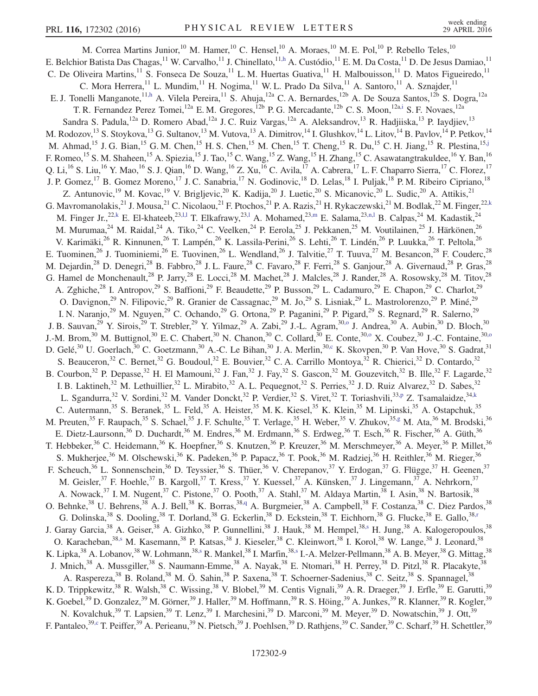<span id="page-8-8"></span><span id="page-8-7"></span><span id="page-8-6"></span><span id="page-8-5"></span><span id="page-8-4"></span><span id="page-8-3"></span><span id="page-8-2"></span><span id="page-8-1"></span><span id="page-8-0"></span>M. Correa Martins Junior,<sup>10</sup> M. Hamer,<sup>10</sup> C. Hensel,<sup>10</sup> A. Moraes,<sup>10</sup> M. E. Pol,<sup>10</sup> P. Rebello Teles,<sup>10</sup> E. Belchior Batista Das Chagas,  $^{11}$  W. Carvalho,  $^{11}$  J. Chinellato,  $^{11,h}$  $^{11,h}$  $^{11,h}$  A. Custódio,  $^{11}$  E. M. Da Costa,  $^{11}$  D. De Jesus Damiao,  $^{11}$ C. De Oliveira Martins,<sup>11</sup> S. Fonseca De Souza,<sup>11</sup> L. M. Huertas Guativa,<sup>11</sup> H. Malbouisson,<sup>11</sup> D. Matos Figueiredo,<sup>11</sup> C. Mora Herrera,<sup>11</sup> L. Mundim,<sup>11</sup> H. Nogima,<sup>11</sup> W. L. Prado Da Silva,<sup>11</sup> A. Santoro,<sup>11</sup> A. Sznajder,<sup>11</sup> E. J. Tonelli Manganote,<sup>1[1,h](#page-17-6)</sup> A. Vilela Pereira,<sup>11</sup> S. Ahuja,<sup>12a</sup> C. A. Bernardes,<sup>12b</sup> A. De Souza Santos,<sup>12b</sup> S. Dogra,<sup>12a</sup> T. R. Fernandez Perez Tomei,<sup>12a</sup> E. M. Gregores,<sup>12b</sup> P. G. Mercadante,<sup>12b</sup> C. S. Moon,<sup>12a[,i](#page-17-7)</sup> S. F. Novaes,<sup>12a</sup> Sandra S. Padula,<sup>12a</sup> D. Romero Abad,<sup>12a</sup> J. C. Ruiz Vargas,<sup>12a</sup> A. Aleksandrov,<sup>13</sup> R. Hadjiiska,<sup>13</sup> P. Iaydjiev,<sup>13</sup> M. Rodozov,<sup>13</sup> S. Stoykova,<sup>13</sup> G. Sultanov,<sup>13</sup> M. Vutova,<sup>13</sup> A. Dimitrov,<sup>14</sup> I. Glushkov,<sup>14</sup> L. Litov,<sup>14</sup> B. Pavlov,<sup>14</sup> P. Petkov,<sup>14</sup> M. Ahmad,<sup>15</sup> J. G. Bian,<sup>15</sup> G. M. Chen,<sup>15</sup> H. S. Chen,<sup>15</sup> M. Chen,<sup>15</sup> T. Cheng,<sup>15</sup> R. Du,<sup>15</sup> C. H. Jiang,<sup>15</sup> R. Plestina,<sup>1[5,j](#page-17-8)</sup> F. Romeo,<sup>15</sup> S. M. Shaheen,<sup>15</sup> A. Spiezia,<sup>15</sup> J. Tao,<sup>15</sup> C. Wang,<sup>15</sup> Z. Wang,<sup>15</sup> H. Zhang,<sup>15</sup> C. Asawatangtrakuldee,<sup>16</sup> Y. Ban,<sup>16</sup> Q. Li,<sup>16</sup> S. Liu,<sup>16</sup> Y. Mao,<sup>16</sup> S. J. Qian,<sup>16</sup> D. Wang,<sup>16</sup> Z. Xu,<sup>16</sup> C. Avila,<sup>17</sup> A. Cabrera,<sup>17</sup> L. F. Chaparro Sierra,<sup>17</sup> C. Florez,<sup>17</sup> J. P. Gomez,<sup>17</sup> B. Gomez Moreno,<sup>17</sup> J. C. Sanabria,<sup>17</sup> N. Godinovic,<sup>18</sup> D. Lelas,<sup>18</sup> I. Puljak,<sup>18</sup> P. M. Ribeiro Cipriano,<sup>18</sup> Z. Antunovic,<sup>19</sup> M. Kovac,<sup>19</sup> V. Brigljevic,<sup>20</sup> K. Kadija,<sup>20</sup> J. Luetic,<sup>20</sup> S. Micanovic,<sup>20</sup> L. Sudic,<sup>20</sup> A. Attikis,<sup>21</sup> G. Mavromanolakis,<sup>21</sup> J. Mousa,<sup>21</sup> C. Nicolaou,<sup>21</sup> F. Ptochos,<sup>21</sup> P. A. Razis,<sup>21</sup> H. Rykaczewski,<sup>21</sup> M. Bodlak,<sup>22</sup> M. Finger,<sup>22[,k](#page-17-9)</sup> M. Finger Jr.,<sup>22[,k](#page-17-9)</sup> E. El-khateeb,<sup>2[3,l,l](#page-17-10)</sup> T. Elkafrawy,<sup>2[3,l](#page-17-10)</sup> A. Mohamed,<sup>2[3,m](#page-17-11)</sup> E. Salama,<sup>23[,n,l](#page-17-12)</sup> B. Calpas,<sup>24</sup> M. Kadastik,<sup>24</sup> M. Murumaa,<sup>24</sup> M. Raidal,<sup>24</sup> A. Tiko,<sup>24</sup> C. Veelken,<sup>24</sup> P. Eerola,<sup>25</sup> J. Pekkanen,<sup>25</sup> M. Voutilainen,<sup>25</sup> J. Härkönen,<sup>26</sup> V. Karimäki,<sup>26</sup> R. Kinnunen,<sup>26</sup> T. Lampén,<sup>26</sup> K. Lassila-Perini,<sup>26</sup> S. Lehti,<sup>26</sup> T. Lindén,<sup>26</sup> P. Luukka,<sup>26</sup> T. Peltola,<sup>26</sup> E. Tuominen,<sup>26</sup> J. Tuominiemi,<sup>26</sup> E. Tuovinen,<sup>26</sup> L. Wendland,<sup>26</sup> J. Talvitie,<sup>27</sup> T. Tuuva,<sup>27</sup> M. Besancon,<sup>28</sup> F. Couderc,<sup>28</sup> M. Dejardin,<sup>28</sup> D. Denegri,<sup>28</sup> B. Fabbro,<sup>28</sup> J. L. Faure,<sup>28</sup> C. Favaro,<sup>28</sup> F. Ferri,<sup>28</sup> S. Ganjour,<sup>28</sup> A. Givernaud,<sup>28</sup> P. Gras,<sup>28</sup> G. Hamel de Monchenault,<sup>28</sup> P. Jarry,<sup>28</sup> E. Locci,<sup>28</sup> M. Machet,<sup>28</sup> J. Malcles,<sup>28</sup> J. Rander,<sup>28</sup> A. Rosowsky,<sup>28</sup> M. Titov,<sup>28</sup> A. Zghiche,<sup>28</sup> I. Antropov,<sup>29</sup> S. Baffioni,<sup>29</sup> F. Beaudette,<sup>29</sup> P. Busson,<sup>29</sup> L. Cadamuro,<sup>29</sup> E. Chapon,<sup>29</sup> C. Charlot,<sup>29</sup> O. Davignon,<sup>29</sup> N. Filipovic,<sup>29</sup> R. Granier de Cassagnac,<sup>29</sup> M. Jo,<sup>29</sup> S. Lisniak,<sup>29</sup> L. Mastrolorenzo,<sup>29</sup> P. Miné,<sup>29</sup> I. N. Naranjo,<sup>29</sup> M. Nguyen,<sup>29</sup> C. Ochando,<sup>29</sup> G. Ortona,<sup>29</sup> P. Paganini,<sup>29</sup> P. Pigard,<sup>29</sup> S. Regnard,<sup>29</sup> R. Salerno,<sup>29</sup> J. B. Sauvan,<sup>29</sup> Y. Sirois,<sup>29</sup> T. Strebler,<sup>29</sup> Y. Yilmaz,<sup>29</sup> A. Zabi,<sup>29</sup> J.-L. Agram,<sup>30[,o](#page-17-13)</sup> J. Andrea,<sup>30</sup> A. Aubin,<sup>30</sup> D. Bloch,<sup>30</sup> J.-M. Brom,<sup>30</sup> M. Buttignol,<sup>30</sup> E. C. Chabert,<sup>30</sup> N. Chanon,<sup>30</sup> C. Collard,<sup>30</sup> E. Conte,<sup>30[,o](#page-17-13)</sup> X. Coubez,<sup>30</sup> J.-C. Fontaine,<sup>30,o</sup> D. Gelé,<sup>30</sup> U. Goerlach,<sup>30</sup> C. Goetzmann,<sup>30</sup> A.-C. Le Bihan,<sup>30</sup> J. A. Merlin,<sup>3[0,c](#page-17-1)</sup> K. Skovpen,<sup>30</sup> P. Van Hove,<sup>30</sup> S. Gadrat,<sup>31</sup> S. Beauceron,<sup>32</sup> C. Bernet,<sup>32</sup> G. Boudoul,<sup>32</sup> E. Bouvier,<sup>32</sup> C. A. Carrillo Montoya,<sup>32</sup> R. Chierici,<sup>32</sup> D. Contardo,<sup>32</sup> B. Courbon,<sup>32</sup> P. Depasse,<sup>32</sup> H. El Mamouni,<sup>32</sup> J. Fan,<sup>32</sup> J. Fay,<sup>32</sup> S. Gascon,<sup>32</sup> M. Gouzevitch,<sup>32</sup> B. Ille,<sup>32</sup> F. Lagarde,<sup>32</sup> I. B. Laktineh,<sup>32</sup> M. Lethuillier,<sup>32</sup> L. Mirabito,<sup>32</sup> A. L. Pequegnot,<sup>32</sup> S. Perries,<sup>32</sup> J. D. Ruiz Alvarez,<sup>32</sup> D. Sabes,<sup>32</sup> L. Sgandurra,<sup>32</sup> V. Sordini,<sup>32</sup> M. Vander Donckt,<sup>32</sup> P. Verdier,<sup>32</sup> S. Viret,<sup>32</sup> T. Toriashvili,<sup>33[,p](#page-17-14)</sup> Z. Tsamalaidze,<sup>34[,k](#page-17-9)</sup> C. Autermann,<sup>35</sup> S. Beranek,<sup>35</sup> L. Feld,<sup>35</sup> A. Heister,<sup>35</sup> M. K. Kiesel,<sup>35</sup> K. Klein,<sup>35</sup> M. Lipinski,<sup>35</sup> A. Ostapchuk,<sup>35</sup> M. Preuten,<sup>35</sup> F. Raupach,<sup>35</sup> S. Schael,<sup>35</sup> J. F. Schulte,<sup>35</sup> T. Verlage,<sup>35</sup> H. Weber,<sup>35</sup> V. Zhukov,<sup>35[,g](#page-17-5)</sup> M. Ata,<sup>36</sup> M. Brodski,<sup>36</sup> E. Dietz-Laursonn,<sup>36</sup> D. Duchardt,<sup>36</sup> M. Endres,<sup>36</sup> M. Erdmann,<sup>36</sup> S. Erdweg,<sup>36</sup> T. Esch,<sup>36</sup> R. Fischer,<sup>36</sup> A. Güth,<sup>36</sup> T. Hebbeker,<sup>36</sup> C. Heidemann,<sup>36</sup> K. Hoepfner,<sup>36</sup> S. Knutzen,<sup>36</sup> P. Kreuzer,<sup>36</sup> M. Merschmeyer,<sup>36</sup> A. Meyer,<sup>36</sup> P. Millet,<sup>36</sup> S. Mukherjee,<sup>36</sup> M. Olschewski,<sup>36</sup> K. Padeken,<sup>36</sup> P. Papacz,<sup>36</sup> T. Pook,<sup>36</sup> M. Radziej,<sup>36</sup> H. Reithler,<sup>36</sup> M. Rieger,<sup>36</sup> F. Scheuch,<sup>36</sup> L. Sonnenschein,<sup>36</sup> D. Teyssier,<sup>36</sup> S. Thüer,<sup>36</sup> V. Cherepanov,<sup>37</sup> Y. Erdogan,<sup>37</sup> G. Flügge,<sup>37</sup> H. Geenen,<sup>37</sup> M. Geisler,<sup>37</sup> F. Hoehle,<sup>37</sup> B. Kargoll,<sup>37</sup> T. Kress,<sup>37</sup> Y. Kuessel,<sup>37</sup> A. Künsken,<sup>37</sup> J. Lingemann,<sup>37</sup> A. Nehrkorn,<sup>37</sup> A. Nowack,  $37$  I. M. Nugent,  $37$  C. Pistone,  $37$  O. Pooth,  $37$  A. Stahl,  $37$  M. Aldaya Martin,  $38$  I. Asin,  $38$  N. Bartosik,  $38$ O. Behnke,<sup>38</sup> U. Behrens,<sup>38</sup> A. J. Bell,<sup>38</sup> K. Borras,<sup>3[8,q](#page-17-15)</sup> A. Burgmeier,<sup>38</sup> A. Campbell,<sup>38</sup> F. Costanza,<sup>38</sup> C. Diez Pardos,<sup>38</sup> G. Dolinska,<sup>38</sup> S. Dooling,<sup>38</sup> T. Dorland,<sup>38</sup> G. Eckerlin,<sup>38</sup> D. Eckstein,<sup>38</sup> T. Eichhorn,<sup>38</sup> G. Flucke,<sup>38</sup> E. Gallo,<sup>38[,r](#page-17-16)</sup> J. Garay Garcia,<sup>38</sup> A. Geiser,<sup>38</sup> A. Gizhko,<sup>38</sup> P. Gunnellini,<sup>38</sup> J. Hauk,<sup>38</sup> M. Hempel,<sup>3[8,s](#page-17-17)</sup> H. Jung,<sup>38</sup> A. Kalogeropoulos,<sup>38</sup> O. Karacheban,<sup>38[,s](#page-17-17)</sup> M. Kasemann,<sup>38</sup> P. Katsas,<sup>38</sup> J. Kieseler,<sup>38</sup> C. Kleinwort,<sup>38</sup> I. Korol,<sup>38</sup> W. Lange,<sup>38</sup> J. Leonard,<sup>38</sup> K. Lipka, $^{38}$  A. Lobanov, $^{38}$  W. Lohmann, $^{38,s}$  $^{38,s}$  $^{38,s}$  R. Mankel, $^{38}$  I. Marfin, $^{38,s}$  $^{38,s}$  $^{38,s}$  I.-A. Melzer-Pellmann, $^{38}$  A. B. Meyer, $^{38}$  G. Mittag, $^{38}$ J. Mnich,<sup>38</sup> A. Mussgiller,<sup>38</sup> S. Naumann-Emme,<sup>38</sup> A. Nayak,<sup>38</sup> E. Ntomari,<sup>38</sup> H. Perrey,<sup>38</sup> D. Pitzl,<sup>38</sup> R. Placakyte,<sup>38</sup> A. Raspereza,<sup>38</sup> B. Roland,<sup>38</sup> M. Ö. Sahin,<sup>38</sup> P. Saxena,<sup>38</sup> T. Schoerner-Sadenius,<sup>38</sup> C. Seitz,<sup>38</sup> S. Spannagel,<sup>38</sup> K. D. Trippkewitz,<sup>38</sup> R. Walsh,<sup>38</sup> C. Wissing,<sup>38</sup> V. Blobel,<sup>39</sup> M. Centis Vignali,<sup>39</sup> A. R. Draeger,<sup>39</sup> J. Erfle,<sup>39</sup> E. Garutti,<sup>39</sup> K. Goebel,<sup>39</sup> D. Gonzalez,<sup>39</sup> M. Görner,<sup>39</sup> J. Haller,<sup>39</sup> M. Hoffmann,<sup>39</sup> R. S. Höing,<sup>39</sup> A. Junkes,<sup>39</sup> R. Klanner,<sup>39</sup> R. Kogler,<sup>39</sup> N. Kovalchuk,<sup>39</sup> T. Lapsien,<sup>39</sup> T. Lenz,<sup>39</sup> I. Marchesini,<sup>39</sup> D. Marconi,<sup>39</sup> M. Meyer,<sup>39</sup> D. Nowatschin,<sup>39</sup> J. Ott,<sup>39</sup> F. Pantaleo,<sup>3[9,c](#page-17-1)</sup> T. Peiffer,<sup>39</sup> A. Perieanu,<sup>39</sup> N. Pietsch,<sup>39</sup> J. Poehlsen,<sup>39</sup> D. Rathjens,<sup>39</sup> C. Sander,<sup>39</sup> C. Scharf,<sup>39</sup> H. Schettler,<sup>39</sup>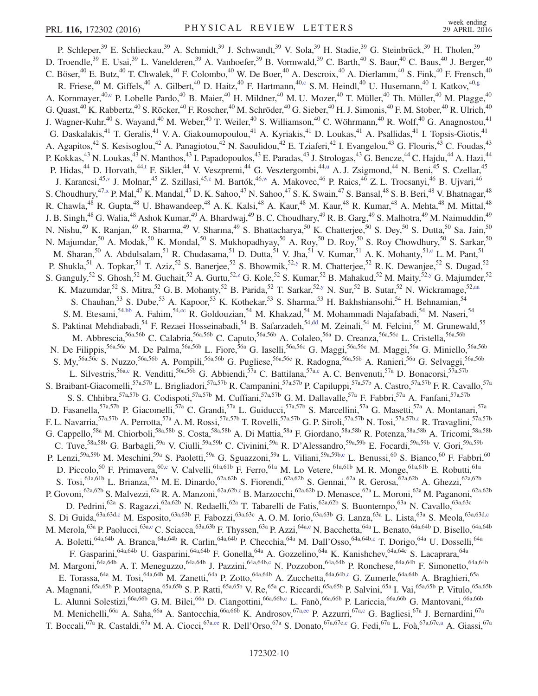<span id="page-9-7"></span><span id="page-9-6"></span><span id="page-9-5"></span><span id="page-9-4"></span><span id="page-9-3"></span><span id="page-9-2"></span><span id="page-9-1"></span><span id="page-9-0"></span>P. Schleper,<sup>39</sup> E. Schlieckau,<sup>39</sup> A. Schmidt,<sup>39</sup> J. Schwandt,<sup>39</sup> V. Sola,<sup>39</sup> H. Stadie,<sup>39</sup> G. Steinbrück,<sup>39</sup> H. Tholen,<sup>39</sup> D. Troendle,<sup>39</sup> E. Usai,<sup>39</sup> L. Vanelderen,<sup>39</sup> A. Vanhoefer,<sup>39</sup> B. Vormwald,<sup>39</sup> C. Barth,<sup>40</sup> S. Baur,<sup>40</sup> C. Baus,<sup>40</sup> J. Berger,<sup>40</sup> C. Böser,<sup>40</sup> E. Butz,<sup>40</sup> T. Chwalek,<sup>40</sup> F. Colombo,<sup>40</sup> W. De Boer,<sup>40</sup> A. Descroix,<sup>40</sup> A. Dierlamm,<sup>40</sup> S. Fink,<sup>40</sup> F. Frensch,<sup>40</sup> R. Friese,<sup>40</sup> M. Giffels,<sup>40</sup> A. Gilbert,<sup>40</sup> D. Haitz,<sup>40</sup> F. Hartmann,<sup>40[,c](#page-17-1)</sup> S.M. Heindl,<sup>40</sup> U. Husemann,<sup>40</sup> I. Katkov,<sup>40[,g](#page-17-5)</sup> A. Kornmayer,<sup>4[0,c](#page-17-1)</sup> P. Lobelle Pardo,<sup>40</sup> B. Maier,<sup>40</sup> H. Mildner,<sup>40</sup> M. U. Mozer,<sup>40</sup> T. Müller,<sup>40</sup> Th. Müller,<sup>40</sup> M. Plagge,<sup>40</sup> G. Quast,  $^{40}$  K. Rabbertz,  $^{40}$  S. Röcker,  $^{40}$  F. Roscher,  $^{40}$  M. Schröder,  $^{40}$  G. Sieber,  $^{40}$  H. J. Simonis,  $^{40}$  F. M. Stober,  $^{40}$  R. Ulrich,  $^{40}$ J. Wagner-Kuhr,<sup>40</sup> S. Wayand,<sup>40</sup> M. Weber,<sup>40</sup> T. Weiler,<sup>40</sup> S. Williamson,<sup>40</sup> C. Wöhrmann,<sup>40</sup> R. Wolf,<sup>40</sup> G. Anagnostou,<sup>41</sup> G. Daskalakis,<sup>41</sup> T. Geralis,<sup>41</sup> V. A. Giakoumopoulou,<sup>41</sup> A. Kyriakis,<sup>41</sup> D. Loukas,<sup>41</sup> A. Psallidas,<sup>41</sup> I. Topsis-Giotis,<sup>41</sup> A. Agapitos,<sup>42</sup> S. Kesisoglou,<sup>42</sup> A. Panagiotou,<sup>42</sup> N. Saoulidou,<sup>42</sup> E. Tziaferi,<sup>42</sup> I. Evangelou,<sup>43</sup> G. Flouris,<sup>43</sup> C. Foudas,<sup>43</sup> P. Kokkas,<sup>43</sup> N. Loukas,<sup>43</sup> N. Manthos,<sup>43</sup> I. Papadopoulos,<sup>43</sup> E. Paradas,<sup>43</sup> J. Strologas,<sup>43</sup> G. Bencze,<sup>44</sup> C. Hajdu,<sup>44</sup> A. Hazi,<sup>44</sup> P. Hidas,<sup>44</sup> D. Horvath,<sup>4[4,t](#page-17-18)</sup> F. Sikler,<sup>44</sup> V. Veszpremi,<sup>44</sup> G. Vesztergombi,<sup>44[,u](#page-17-19)</sup> A. J. Zsigmond,<sup>44</sup> N. Beni,<sup>45</sup> S. Czellar,<sup>45</sup> J. Karancsi,<sup>4[5,v](#page-17-20)</sup> J. Molnar,<sup>45</sup> Z. Szillasi,<sup>45[,c](#page-17-1)</sup> M. Bartók,<sup>46[,w](#page-17-21)</sup> A. Makovec,<sup>46</sup> P. Raics,<sup>46</sup> Z. L. Trocsanyi,<sup>46</sup> B. Ujvari,<sup>46</sup> S. Choudhury, <sup>47[,x](#page-17-22)</sup> P. Mal, <sup>47</sup> K. Mandal, <sup>47</sup> D. K. Sahoo, <sup>47</sup> N. Sahoo, <sup>47</sup> S. K. Swain, <sup>47</sup> S. Bansal, <sup>48</sup> S. B. Beri, <sup>48</sup> V. Bhatnagar, <sup>48</sup> R. Chawla,<sup>48</sup> R. Gupta,<sup>48</sup> U. Bhawandeep,<sup>48</sup> A. K. Kalsi,<sup>48</sup> A. Kaur,<sup>48</sup> M. Kaur,<sup>48</sup> R. Kumar,<sup>48</sup> A. Mehta,<sup>48</sup> M. Mittal,<sup>48</sup> J. B. Singh,<sup>48</sup> G. Walia,<sup>48</sup> Ashok Kumar,<sup>49</sup> A. Bhardwaj,<sup>49</sup> B. C. Choudhary,<sup>49</sup> R. B. Garg,<sup>49</sup> S. Malhotra,<sup>49</sup> M. Naimuddin,<sup>49</sup> N. Nishu,<sup>49</sup> K. Ranjan,<sup>49</sup> R. Sharma,<sup>49</sup> V. Sharma,<sup>49</sup> S. Bhattacharya,<sup>50</sup> K. Chatterjee,<sup>50</sup> S. Dey,<sup>50</sup> S. Dutta,<sup>50</sup> Sa. Jain,<sup>50</sup> N. Majumdar,<sup>50</sup> A. Modak,<sup>50</sup> K. Mondal,<sup>50</sup> S. Mukhopadhyay,<sup>50</sup> A. Roy,<sup>50</sup> D. Roy,<sup>50</sup> S. Roy Chowdhury,<sup>50</sup> S. Sarkar,<sup>50</sup> M. Sharan,<sup>50</sup> A. Abdulsalam,<sup>51</sup> R. Chudasama,<sup>51</sup> D. Dutta,<sup>51</sup> V. Jha,<sup>51</sup> V. Kumar,<sup>51</sup> A. K. Mohanty,<sup>5[1,c](#page-17-1)</sup> L. M. Pant,<sup>51</sup> P. Shukla,<sup>51</sup> A. Topkar,<sup>51</sup> T. Aziz,<sup>52</sup> S. Banerjee,<sup>52</sup> S. Bhowmik,<sup>52[,y](#page-17-23)</sup> R. M. Chatterjee,<sup>52</sup> R. K. Dewanjee,<sup>52</sup> S. Dugad,<sup>52</sup> S. Ganguly,<sup>52</sup> S. Ghosh,<sup>52</sup> M. Guchait,<sup>52</sup> A. Gurtu,<sup>52,*z*</sup> G. Kole,<sup>52</sup> S. Kumar,<sup>52</sup> B. Mahakud,<sup>52</sup> M. Maity,<sup>5[2,y](#page-17-23)</sup> G. Majumder,<sup>52</sup> K. Mazumdar,<sup>52</sup> S. Mitra,<sup>52</sup> G. B. Mohanty,<sup>52</sup> B. Parida,<sup>52</sup> T. Sarkar,<sup>5[2,y](#page-17-23)</sup> N. Sur,<sup>52</sup> B. Sutar,<sup>52</sup> N. Wickramage,<sup>52[,aa](#page-17-25)</sup> S. Chauhan,<sup>53</sup> S. Dube,<sup>53</sup> A. Kapoor,<sup>53</sup> K. Kothekar,<sup>53</sup> S. Sharma,<sup>53</sup> H. Bakhshiansohi,<sup>54</sup> H. Behnamian,<sup>54</sup> S. M. Etesami,<sup>5[4,bb](#page-17-26)</sup> A. Fahim,<sup>54[,cc](#page-17-27)</sup> R. Goldouzian,<sup>54</sup> M. Khakzad,<sup>54</sup> M. Mohammadi Najafabadi,<sup>54</sup> M. Naseri,<sup>54</sup> S. Paktinat Mehdiabadi,<sup>54</sup> F. Rezaei Hosseinabadi,<sup>54</sup> B. Safarzadeh,<sup>5[4,dd](#page-17-28)</sup> M. Zeinali,<sup>54</sup> M. Felcini,<sup>55</sup> M. Grunewald,<sup>55</sup> M. Abbrescia,<sup>56a,56b</sup> C. Calabria,<sup>56a,56b</sup> C. Caputo,<sup>56a,56b</sup> A. Colaleo,<sup>56a</sup> D. Creanza,<sup>56a,56c</sup> L. Cristella,<sup>56a,56b</sup> N. De Filippis, <sup>56a,56c</sup> M. De Palma, <sup>56a,56b</sup> L. Fiore, <sup>56a</sup> G. Iaselli, <sup>56a,56c</sup> G. Maggi, <sup>56a,56c</sup> M. Maggi, <sup>56a</sup> G. Miniello, <sup>56a,56b</sup> S. My,<sup>56a,56c</sup> S. Nuzzo,<sup>56a,56b</sup> A. Pompili,<sup>56a,56b</sup> G. Pugliese,<sup>56a,56c</sup> R. Radogna,<sup>56a,56b</sup> A. Ranieri,<sup>56a</sup> G. Selvaggi,<sup>56a,56b</sup> L. Silvestris,<sup>56a[,c](#page-17-1)</sup> R. Venditti,<sup>56a,56b</sup> G. Abbiendi,<sup>57a</sup> C. Battilana,<sup>57a,c</sup> A. C. Benvenuti,<sup>57a</sup> D. Bonacorsi,<sup>57a,57b</sup> S. Braibant-Giacomelli,<sup>57a,57b</sup> L. Brigliadori,<sup>57a,57b</sup> R. Campanini,<sup>57a,57b</sup> P. Capiluppi,<sup>57a,57b</sup> A. Castro,<sup>57a,57b</sup> F. R. Cavallo,<sup>57a</sup> S. S. Chhibra,<sup>57a,57b</sup> G. Codispoti,<sup>57a,57b</sup> M. Cuffiani,<sup>57a,57b</sup> G. M. Dallavalle,<sup>57a</sup> F. Fabbri,<sup>57a</sup> A. Fanfani,<sup>57a,57b</sup> D. Fasanella,<sup>57a,57b</sup> P. Giacomelli,<sup>57a</sup> C. Grandi,<sup>57a</sup> L. Guiducci,<sup>57a,57b</sup> S. Marcellini,<sup>57a</sup> G. Masetti,<sup>57a</sup> A. Montanari,<sup>57a</sup> F. L. Navarria,<sup>57a,57b</sup> A. Perrotta,<sup>57a</sup> A. M. Rossi,<sup>57a,57b</sup> T. Rovelli,<sup>57a,57b</sup> G. P. Siroli,<sup>57a,57b</sup> N. Tosi,<sup>57a,57b[,c](#page-17-1)</sup> R. Travaglini,<sup>57a,57b</sup> G. Cappello,<sup>58a</sup> M. Chiorboli,<sup>58a,58b</sup> S. Costa,<sup>58a,58b</sup> A. Di Mattia,<sup>58a</sup> F. Giordano,<sup>58a,58b</sup> R. Potenza,<sup>58a,58b</sup> A. Tricomi,<sup>58a,58b</sup> C. Tuve,  ${}^{58a,58b}$  G. Barbagli, ${}^{59a}$  V. Ciulli, ${}^{59a,59b}$  C. Civinini, ${}^{59a}$  R. D'Alessandro, ${}^{59a,59b}$  E. Focardi, ${}^{59a,59b}$  V. Gori, ${}^{59a,59b}$ P. Lenzi,<sup>59a,59b</sup> M. Meschini,<sup>59a</sup> S. Paoletti,<sup>59a</sup> G. Sguazzoni,<sup>59a</sup> L. Viliani,<sup>59a,59b[,c](#page-17-1)</sup> L. Benussi,<sup>60</sup> S. Bianco,<sup>60</sup> F. Fabbri,<sup>60</sup> D. Piccolo,<sup>60</sup> F. Primavera,<sup>6[0,c](#page-17-1)</sup> V. Calvelli,<sup>61a,61b</sup> F. Ferro,<sup>61a</sup> M. Lo Vetere,<sup>61a,61b</sup> M. R. Monge,<sup>61a,61b</sup> E. Robutti,<sup>61a</sup> S. Tosi,<sup>61a,61b</sup> L. Brianza,<sup>62a</sup> M. E. Dinardo,<sup>62a,62b</sup> S. Fiorendi,<sup>62a,62b</sup> S. Gennai,<sup>62a</sup> R. Gerosa,<sup>62a,62b</sup> A. Ghezzi,<sup>62a,62b</sup> P. Govoni,<sup>62a,62b</sup> S. Malvezzi,<sup>62a</sup> R. A. Manzoni,<sup>62a,62b</sup>,c B. Marzocchi,<sup>62a,62b</sup> D. Menasce,<sup>62a</sup> L. Moroni,<sup>62a</sup> M. Paganoni,<sup>62a,62b</sup> D. Pedrini,<sup>62a</sup> S. Ragazzi,<sup>62a,62b</sup> N. Redaelli,<sup>62a</sup> T. Tabarelli de Fatis,<sup>62a,62b</sup> S. Buontempo,<sup>63a</sup> N. Cavallo,<sup>63a,63c</sup> S. Di Guida,<sup>63a,63[d,c](#page-17-1)</sup> M. Esposito,<sup>63a,63b</sup> F. Fabozzi,<sup>63a,63c</sup> A. O. M. Iorio,<sup>63a,63b</sup> G. Lanza,<sup>63a</sup> L. Lista,<sup>63a</sup> S. Meola,<sup>63a,63d[,c](#page-17-1)</sup> M. Merola,<sup>63a</sup> P. Paolucci,<sup>63[a,c](#page-17-1)</sup> C. Sciacca,<sup>63a,63b</sup> F. Thyssen,<sup>63a</sup> P. Azzi,<sup>64a,c</sup> N. Bacchetta,<sup>64a</sup> L. Benato,<sup>64a,64b</sup> D. Bisello,<sup>64a,64b</sup> A. Boletti,<sup>64a,64b</sup> A. Branca,<sup>64a,64b</sup> R. Carlin,<sup>64a,64b</sup> P. Checchia,<sup>64a</sup> M. Dall'Osso,<sup>64a,64b[,c](#page-17-1)</sup> T. Dorigo,<sup>64a</sup> U. Dosselli,<sup>64a</sup> F. Gasparini,<sup>64a,64b</sup> U. Gasparini,<sup>64a,64b</sup> F. Gonella,<sup>64a</sup> A. Gozzelino,<sup>64a</sup> K. Kanishchev,<sup>64a,64c</sup> S. Lacaprara,<sup>64a</sup> M. Margoni,<sup>64a,64b</sup> A. T. Meneguzzo,<sup>64a,64b</sup> J. Pazzini,<sup>64a,64b[,c](#page-17-1)</sup> N. Pozzobon,<sup>64a,64b</sup> P. Ronchese,<sup>64a,64b</sup> F. Simonetto,<sup>64a,64b</sup> E. Torassa,<sup>64a</sup> M. Tosi,<sup>64a,64b</sup> M. Zanetti,<sup>64a</sup> P. Zotto,<sup>64a,64b</sup> A. Zucchetta,<sup>64a,64[b,c](#page-17-1)</sup> G. Zumerle,<sup>64a,64b</sup> A. Braghieri,<sup>65a</sup> A. Magnani,<sup>65a,65b</sup> P. Montagna,<sup>65a,65b</sup> S. P. Ratti,<sup>65a,65b</sup> V. Re,<sup>65a</sup> C. Riccardi,<sup>65a,65b</sup> P. Salvini,<sup>65a</sup> I. Vai,<sup>65a,65b</sup> P. Vitulo,<sup>65a,65b</sup> L. Alunni Solestizi,<sup>66a,66b</sup> G. M. Bilei,<sup>66a</sup> D. Ciangottini,<sup>66a,66b[,c](#page-17-1)</sup> L. Fanò,<sup>66a,66b</sup> P. Lariccia,<sup>66a,66b</sup> G. Mantovani,<sup>66a,66b</sup> M. Menichelli,<sup>66a</sup> A. Saha,<sup>66a</sup> A. Santocchia,<sup>66a,66b</sup> K. Androsov,<sup>67a[,ee](#page-17-29)</sup> P. Azzurri,<sup>67a[,c](#page-17-1)</sup> G. Bagliesi,<sup>67a</sup> J. Bernardini,<sup>67a</sup> T. Boccali,<sup>67a</sup> R. Castaldi,<sup>67a</sup> M. A. Ciocci,<sup>67a[,ee](#page-17-29)</sup> R. Dell'Orso,<sup>67a</sup> S. Donato,<sup>67a,67c[,c](#page-17-1)</sup> G. Fedi,<sup>67a</sup> L. Foà,<sup>67a,67c[,a](#page-17-30)</sup> A. Giassi,<sup>67a</sup>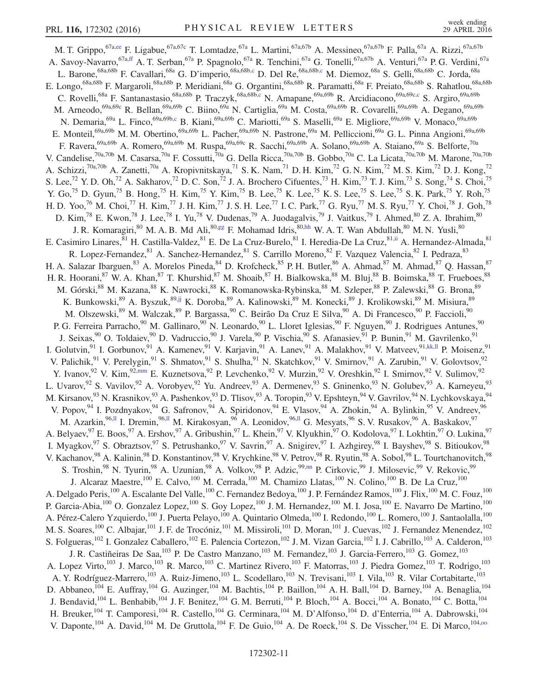<span id="page-10-8"></span><span id="page-10-7"></span><span id="page-10-6"></span><span id="page-10-5"></span><span id="page-10-4"></span><span id="page-10-3"></span><span id="page-10-2"></span><span id="page-10-1"></span><span id="page-10-0"></span>M. T. Grippo, <sup>67[a,ee](#page-17-29)</sup> F. Ligabue, <sup>67a,67c</sup> T. Lomtadze, <sup>67a</sup> L. Martini, <sup>67a,67b</sup> A. Messineo, <sup>67a,67b</sup> F. Palla, <sup>67a</sup> A. Rizzi, <sup>67a,67b</sup> A. Savoy-Navarro,<sup>67[a,ff](#page-17-31)</sup> A. T. Serban,<sup>67a</sup> P. Spagnolo,<sup>67a</sup> R. Tenchini,<sup>67a</sup> G. Tonelli,<sup>67a,67b</sup> A. Venturi,<sup>67a</sup> P. G. Verdini,<sup>67a</sup> L. Barone,<sup>68a,68b</sup> F. Cavallari,<sup>68a</sup> G. D'imperio,<sup>68a,68b[,c](#page-17-1)</sup> D. Del Re,<sup>68a,68b,c</sup> M. Diemoz,<sup>68a</sup> S. Gelli,<sup>68a,68b</sup> C. Jorda,<sup>68a</sup> E. Longo,<sup>68a,68b</sup> F. Margaroli,<sup>68a,68b</sup> P. Meridiani,<sup>68a</sup> G. Organtini,<sup>68a,68b</sup> R. Paramatti,<sup>68a</sup> F. Preiato,<sup>68a,68b</sup> S. Rahatlou,<sup>68a,68b</sup> C. Rovelli,<sup>68a</sup> F. Santanastasio,<sup>68a,68b</sup> P. Traczyk,<sup>68a,68[b,c](#page-17-1)</sup> N. Amapane,<sup>69a,69b</sup> R. Arcidiacono,<sup>69a,69c[,c](#page-17-1)</sup> S. Argiro,<sup>69a,69b</sup> M. Arneodo,<sup>69a,69c</sup> R. Bellan,<sup>69a,69b</sup> C. Biino,<sup>69a</sup> N. Cartiglia,<sup>69a</sup> M. Costa,<sup>69a,69b</sup> R. Covarelli,<sup>69a,69b</sup> A. Degano,<sup>69a,69b</sup> N. Demaria,<sup>69a</sup> L. Finco,<sup>69a,69[b,c](#page-17-1)</sup> B. Kiani,<sup>69a,69b</sup> C. Mariotti,<sup>69a</sup> S. Maselli,<sup>69a</sup> E. Migliore,<sup>69a,69b</sup> V. Monaco,<sup>69a,69b</sup> E. Monteil,<sup>69a,69b</sup> M. M. Obertino,<sup>69a,69b</sup> L. Pacher,<sup>69a,69b</sup> N. Pastrone,<sup>69a</sup> M. Pelliccioni,<sup>69a</sup> G. L. Pinna Angioni,<sup>69a,69b</sup> F. Ravera, <sup>69a,69b</sup> A. Romero, <sup>69a,69b</sup> M. Ruspa, <sup>69a,69c</sup> R. Sacchi, <sup>69a,69b</sup> A. Solano, <sup>69a,69b</sup> A. Staiano, <sup>69a</sup> S. Belforte, <sup>70a</sup> V. Candelise,<sup>70a,70b</sup> M. Casarsa,<sup>70a</sup> F. Cossutti,<sup>70a</sup> G. Della Ricca,<sup>70a,70b</sup> B. Gobbo,<sup>70a</sup> C. La Licata,<sup>70a,70b</sup> M. Marone,<sup>70a,70b</sup> A. Schizzi,<sup>70a,70b</sup> A. Zanetti,<sup>70a</sup> A. Kropivnitskaya,<sup>71</sup> S. K. Nam,<sup>71</sup> D. H. Kim,<sup>72</sup> G. N. Kim,<sup>72</sup> M. S. Kim,<sup>72</sup> D. J. Kong,<sup>72</sup> S. Lee,<sup>72</sup> Y. D. Oh,<sup>72</sup> A. Sakharov,<sup>72</sup> D. C. Son,<sup>72</sup> J. A. Brochero Cifuentes,<sup>73</sup> H. Kim,<sup>73</sup> T. J. Kim,<sup>73</sup> S. Song,<sup>74</sup> S. Choi,<sup>75</sup> Y. Go,<sup>75</sup> D. Gyun,<sup>75</sup> B. Hong,<sup>75</sup> H. Kim,<sup>75</sup> Y. Kim,<sup>75</sup> B. Lee,<sup>75</sup> K. Lee,<sup>75</sup> K. S. Lee,<sup>75</sup> S. Lee,<sup>75</sup> S. K. Park,<sup>75</sup> Y. Roh,<sup>75</sup> H. D. Yoo,<sup>76</sup> M. Choi,<sup>77</sup> H. Kim,<sup>77</sup> J. H. Kim,<sup>77</sup> J. S. H. Lee,<sup>77</sup> I. C. Park,<sup>77</sup> G. Ryu,<sup>77</sup> M. S. Ryu,<sup>77</sup> Y. Choi,<sup>78</sup> J. Goh,<sup>78</sup> D. Kim,<sup>78</sup> E. Kwon,<sup>78</sup> J. Lee,<sup>78</sup> I. Yu,<sup>78</sup> V. Dudenas,<sup>79</sup> A. Juodagalvis,<sup>79</sup> J. Vaitkus,<sup>79</sup> I. Ahmed,<sup>80</sup> Z. A. Ibrahim,<sup>80</sup> J. R. Komaragiri,<sup>80</sup> M. A. B. Md Ali,<sup>80[,gg](#page-17-32)</sup> F. Mohamad Idris,<sup>80[,hh](#page-17-33)</sup> W. A. T. Wan Abdullah,<sup>80</sup> M. N. Yusli,<sup>80</sup> E. Casimiro Linares, <sup>81</sup> H. Castilla-Valdez, <sup>81</sup> E. De La Cruz-Burelo, <sup>81</sup> I. Heredia-De La Cruz, <sup>8[1,ii](#page-17-34)</sup> A. Hernandez-Almada, <sup>81</sup> R. Lopez-Fernandez, <sup>81</sup> A. Sanchez-Hernandez, <sup>81</sup> S. Carrillo Moreno, <sup>82</sup> F. Vazquez Valencia, <sup>82</sup> I. Pedraza, <sup>83</sup> H. A. Salazar Ibarguen, <sup>83</sup> A. Morelos Pineda, <sup>84</sup> D. Krofcheck, <sup>85</sup> P. H. Butler, <sup>86</sup> A. Ahmad, <sup>87</sup> M. Ahmad, <sup>87</sup> Q. Hassan, <sup>87</sup> H. R. Hoorani,<sup>87</sup> W. A. Khan,<sup>87</sup> T. Khurshid,<sup>87</sup> M. Shoaib,<sup>87</sup> H. Bialkowska,<sup>88</sup> M. Bluj,<sup>88</sup> B. Boimska,<sup>88</sup> T. Frueboes,<sup>88</sup> M. Górski,<sup>88</sup> M. Kazana,<sup>88</sup> K. Nawrocki,<sup>88</sup> K. Romanowska-Rybinska,<sup>88</sup> M. Szleper,<sup>88</sup> P. Zalewski,<sup>88</sup> G. Brona,<sup>89</sup> K. Bunkowski,<sup>89</sup> A. Byszuk,<sup>8[9,jj](#page-17-35)</sup> K. Doroba,<sup>89</sup> A. Kalinowski,<sup>89</sup> M. Konecki,<sup>89</sup> J. Krolikowski,<sup>89</sup> M. Misiura,<sup>89</sup> M. Olszewski,<sup>89</sup> M. Walczak,<sup>89</sup> P. Bargassa,<sup>90</sup> C. Beirão Da Cruz E Silva,<sup>90</sup> A. Di Francesco,<sup>90</sup> P. Faccioli,<sup>90</sup> P. G. Ferreira Parracho,<sup>90</sup> M. Gallinaro,<sup>90</sup> N. Leonardo,<sup>90</sup> L. Lloret Iglesias,<sup>90</sup> F. Nguyen,<sup>90</sup> J. Rodrigues Antunes,<sup>90</sup> J. Seixas, <sup>90</sup> O. Toldaiev, <sup>90</sup> D. Vadruccio, <sup>90</sup> J. Varela, <sup>90</sup> P. Vischia, <sup>90</sup> S. Afanasiev, <sup>91</sup> P. Bunin, <sup>91</sup> M. Gavrilenko, <sup>91</sup> I. Golutvin, <sup>91</sup> I. Gorbunov, <sup>91</sup> A. Kamenev, <sup>91</sup> V. Karjavin, <sup>91</sup> A. Lanev, <sup>91</sup> A. Malakhov, <sup>91</sup> V. Matveev, <sup>91, kk, 11</sup> P. Moisenz, <sup>91</sup> V. Palichik,<sup>91</sup> V. Perelygin,<sup>91</sup> S. Shmatov,<sup>91</sup> S. Shulha,<sup>91</sup> N. Skatchkov,<sup>91</sup> V. Smirnov,<sup>91</sup> A. Zarubin,<sup>91</sup> V. Golovtsov,<sup>92</sup> Y. Ivanov,  $92$  V. Kim,  $92, \text{mm}$  E. Kuznetsova,  $92$  P. Levchenko,  $92$  V. Murzin,  $92$  V. Oreshkin,  $92$  I. Smirnov,  $92$  V. Sulimov,  $92$ L. Uvarov, <sup>92</sup> S. Vavilov, <sup>92</sup> A. Vorobyev, <sup>92</sup> Yu. Andreev, <sup>93</sup> A. Dermenev, <sup>93</sup> S. Gninenko, <sup>93</sup> N. Golubev, <sup>93</sup> A. Karneyeu, <sup>93</sup> M. Kirsanov,<sup>93</sup> N. Krasnikov,<sup>93</sup> A. Pashenkov,<sup>93</sup> D. Tlisov,<sup>93</sup> A. Toropin,<sup>93</sup> V. Epshteyn,<sup>94</sup> V. Gavrilov,<sup>94</sup> N. Lychkovskaya,<sup>94</sup> V. Popov, <sup>94</sup> I. Pozdnyakov, <sup>94</sup> G. Safronov, <sup>94</sup> A. Spiridonov, <sup>94</sup> E. Vlasov, <sup>94</sup> A. Zhokin, <sup>94</sup> A. Bylinkin, <sup>95</sup> V. Andreev, <sup>96</sup> M. Azarkin,<sup>9[6,ll](#page-17-38)</sup> I. Dremin,<sup>96,ll</sup> M. Kirakosyan,<sup>96</sup> A. Leonidov,<sup>96,ll</sup> G. Mesyats,<sup>96</sup> S. V. Rusakov,<sup>96</sup> A. Baskakov,<sup>97</sup> A. Belyaev,  $97$  E. Boos,  $97$  A. Ershov,  $97$  A. Gribushin,  $97$  L. Khein,  $97$  V. Klyukhin,  $97$  O. Kodolova,  $97$  I. Lokhtin,  $97$  O. Lukina,  $97$ I. Myagkov, <sup>97</sup> S. Obraztsov, <sup>97</sup> S. Petrushanko, <sup>97</sup> V. Savrin, <sup>97</sup> A. Snigirev, <sup>97</sup> I. Azhgirey, <sup>98</sup> I. Bayshev, <sup>98</sup> S. Bitioukov, <sup>98</sup> V. Kachanov, <sup>98</sup> A. Kalinin, <sup>98</sup> D. Konstantinov, <sup>98</sup> V. Krychkine, <sup>98</sup> V. Petrov, <sup>98</sup> R. Ryutin, <sup>98</sup> A. Sobol, <sup>98</sup> L. Tourtchanovitch, <sup>98</sup> S. Troshin,<sup>98</sup> N. Tyurin,<sup>98</sup> A. Uzunian,<sup>98</sup> A. Volkov,<sup>98</sup> P. Adzic,<sup>99[,nn](#page-17-39)</sup> P. Cirkovic,<sup>99</sup> J. Milosevic,<sup>99</sup> V. Rekovic,<sup>99</sup> J. Alcaraz Maestre,<sup>100</sup> E. Calvo,<sup>100</sup> M. Cerrada,<sup>100</sup> M. Chamizo Llatas,<sup>100</sup> N. Colino,<sup>100</sup> B. De La Cruz,<sup>100</sup> A. Delgado Peris, <sup>100</sup> A. Escalante Del Valle, <sup>100</sup> C. Fernandez Bedoya, <sup>100</sup> J. P. Fernández Ramos, <sup>100</sup> J. Flix, <sup>100</sup> M. C. Fouz, <sup>100</sup> P. Garcia-Abia,<sup>100</sup> O. Gonzalez Lopez,<sup>100</sup> S. Goy Lopez,<sup>100</sup> J. M. Hernandez,<sup>100</sup> M. I. Josa,<sup>100</sup> E. Navarro De Martino,<sup>100</sup> A. Pérez-Calero Yzquierdo,<sup>100</sup> J. Puerta Pelayo,<sup>100</sup> A. Quintario Olmeda,<sup>100</sup> I. Redondo,<sup>100</sup> L. Romero,<sup>100</sup> J. Santaolalla,<sup>100</sup> M. S. Soares,<sup>100</sup> C. Albajar,<sup>101</sup> J. F. de Trocóniz,<sup>101</sup> M. Missiroli,<sup>101</sup> D. Moran,<sup>101</sup> J. Cuevas,<sup>102</sup> J. Fernandez Menendez,<sup>102</sup> S. Folgueras,<sup>102</sup> I. Gonzalez Caballero,<sup>102</sup> E. Palencia Cortezon,<sup>102</sup> J. M. Vizan Garcia,<sup>102</sup> I. J. Cabrillo,<sup>103</sup> A. Calderon,<sup>103</sup> J. R. Castiñeiras De Saa,<sup>103</sup> P. De Castro Manzano,<sup>103</sup> M. Fernandez,<sup>103</sup> J. Garcia-Ferrero,<sup>103</sup> G. Gomez,<sup>103</sup> A. Lopez Virto,<sup>103</sup> J. Marco,<sup>103</sup> R. Marco,<sup>103</sup> C. Martinez Rivero,<sup>103</sup> F. Matorras,<sup>103</sup> J. Piedra Gomez,<sup>103</sup> T. Rodrigo,<sup>103</sup> A. Y. Rodríguez-Marrero,<sup>103</sup> A. Ruiz-Jimeno,<sup>103</sup> L. Scodellaro,<sup>103</sup> N. Trevisani,<sup>103</sup> I. Vila,<sup>103</sup> R. Vilar Cortabitarte,<sup>103</sup> D. Abbaneo,<sup>104</sup> E. Auffray,<sup>104</sup> G. Auzinger,<sup>104</sup> M. Bachtis,<sup>104</sup> P. Baillon,<sup>104</sup> A. H. Ball,<sup>104</sup> D. Barney,<sup>104</sup> A. Benaglia,<sup>104</sup> J. Bendavid,  $^{104}$  L. Benhabib,  $^{104}$  J. F. Benitez,  $^{104}$  G. M. Berruti,  $^{104}$  P. Bloch,  $^{104}$  A. Bocci,  $^{104}$  A. Bonato,  $^{104}$  C. Botta,  $^{104}$ H. Breuker,<sup>104</sup> T. Camporesi,<sup>104</sup> R. Castello,<sup>104</sup> G. Cerminara,<sup>104</sup> M. D'Alfonso,<sup>104</sup> D. d'Enterria,<sup>104</sup> A. Dabrowski,<sup>104</sup> V. Daponte,  $^{104}$  A. David,  $^{104}$  M. De Gruttola,  $^{104}$  F. De Guio,  $^{104}$  A. De Roeck,  $^{104}$  S. De Visscher,  $^{104}$  E. Di Marco,  $^{104,00}$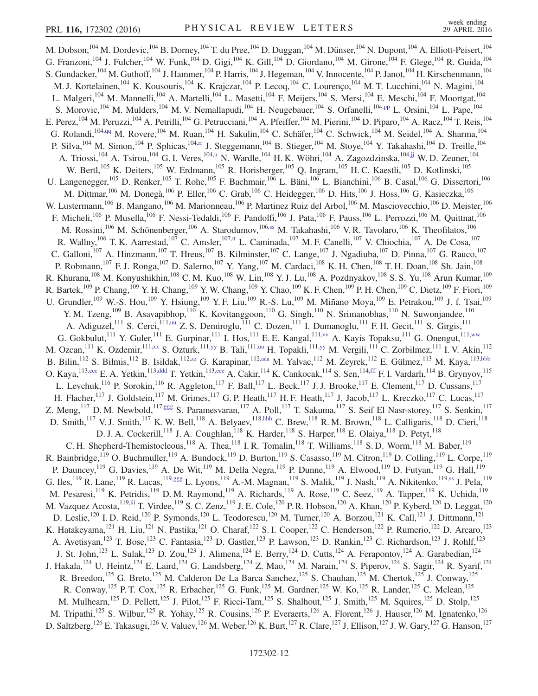<span id="page-11-10"></span><span id="page-11-9"></span><span id="page-11-8"></span><span id="page-11-7"></span><span id="page-11-6"></span><span id="page-11-5"></span><span id="page-11-4"></span><span id="page-11-3"></span><span id="page-11-2"></span><span id="page-11-1"></span><span id="page-11-0"></span>M. Dobson, <sup>104</sup> M. Dordevic, <sup>104</sup> B. Dorney, <sup>104</sup> T. du Pree, <sup>104</sup> D. Duggan, <sup>104</sup> M. Dünser, <sup>104</sup> N. Dupont, <sup>104</sup> A. Elliott-Peisert, <sup>104</sup> G. Franzoni,  $^{104}$  J. Fulcher,  $^{104}$  W. Funk,  $^{104}$  D. Gigi,  $^{104}$  K. Gill,  $^{104}$  D. Giordano,  $^{104}$  M. Girone,  $^{104}$  F. Glege,  $^{104}$  R. Guida,  $^{104}$ S. Gundacker, <sup>104</sup> M. Guthoff, <sup>104</sup> J. Hammer, <sup>104</sup> P. Harris, <sup>104</sup> J. Hegeman, <sup>104</sup> V. Innocente, <sup>104</sup> P. Janot, <sup>104</sup> H. Kirschenmann, <sup>104</sup> M. J. Kortelainen,<sup>104</sup> K. Kousouris,<sup>104</sup> K. Krajczar,<sup>104</sup> P. Lecoq,<sup>104</sup> C. Lourenço,<sup>104</sup> M. T. Lucchini,<sup>104</sup> N. Magini,<sup>104</sup> L. Malgeri,<sup>104</sup> M. Mannelli,<sup>104</sup> A. Martelli,<sup>104</sup> L. Masetti,<sup>104</sup> F. Meijers,<sup>104</sup> S. Mersi,<sup>104</sup> E. Meschi,<sup>104</sup> F. Moortgat,<sup>104</sup> S. Morovic, <sup>104</sup> M. Mulders, <sup>104</sup> M. V. Nemallapudi, <sup>104</sup> H. Neugebauer, <sup>104</sup> S. Orfanelli, <sup>10[4,pp](#page-17-41)</sup> L. Orsini, <sup>104</sup> L. Pape, <sup>104</sup> E. Perez, <sup>104</sup> M. Peruzzi, <sup>104</sup> A. Petrilli, <sup>104</sup> G. Petrucciani, <sup>104</sup> A. Pfeiffer, <sup>104</sup> M. Pierini, <sup>104</sup> D. Piparo, <sup>104</sup> A. Racz, <sup>104</sup> T. Reis, <sup>104</sup> G. Rolandi,  $^{104,qq}$  $^{104,qq}$  $^{104,qq}$  M. Rovere,  $^{104}$  M. Ruan,  $^{104}$  H. Sakulin,  $^{104}$  C. Schäfer,  $^{104}$  C. Schwick,  $^{104}$  M. Seidel,  $^{104}$  A. Sharma,  $^{104}$ P. Silva,<sup>104</sup> M. Simon,<sup>104</sup> P. Sphicas,<sup>104[,rr](#page-17-43)</sup> J. Steggemann,<sup>104</sup> B. Stieger,<sup>104</sup> M. Stoye,<sup>104</sup> Y. Takahashi,<sup>104</sup> D. Treille,<sup>104</sup> A. Triossi,<sup>104</sup> A. Tsirou,<sup>104</sup> G. I. Veres,<sup>10[4,u](#page-17-19)</sup> N. Wardle,<sup>104</sup> H. K. Wöhri,<sup>104</sup> A. Zagozdzinska,<sup>104[,jj](#page-17-35)</sup> W. D. Zeuner,<sup>104</sup> W. Bertl,<sup>105</sup> K. Deiters,<sup>105</sup> W. Erdmann,<sup>105</sup> R. Horisberger,<sup>105</sup> Q. Ingram,<sup>105</sup> H. C. Kaestli,<sup>105</sup> D. Kotlinski,<sup>105</sup> U. Langenegger,<sup>105</sup> D. Renker,<sup>105</sup> T. Rohe,<sup>105</sup> F. Bachmair,<sup>106</sup> L. Bäni,<sup>106</sup> L. Bianchini,<sup>106</sup> B. Casal,<sup>106</sup> G. Dissertori,<sup>106</sup> M. Dittmar, <sup>106</sup> M. Donegà, <sup>106</sup> P. Eller, <sup>106</sup> C. Grab, <sup>106</sup> C. Heidegger, <sup>106</sup> D. Hits, <sup>106</sup> J. Hoss, <sup>106</sup> G. Kasieczka, <sup>106</sup> W. Lustermann,<sup>106</sup> B. Mangano,<sup>106</sup> M. Marionneau,<sup>106</sup> P. Martinez Ruiz del Arbol,<sup>106</sup> M. Masciovecchio,<sup>106</sup> D. Meister,<sup>106</sup> F. Micheli,<sup>106</sup> P. Musella,<sup>106</sup> F. Nessi-Tedaldi,<sup>106</sup> F. Pandolfi,<sup>106</sup> J. Pata,<sup>106</sup> F. Pauss,<sup>106</sup> L. Perrozzi,<sup>106</sup> M. Quittnat,<sup>106</sup> M. Rossini,<sup>106</sup> M. Schönenberger,<sup>106</sup> A. Starodumov,<sup>10[6,ss](#page-17-44)</sup> M. Takahashi,<sup>106</sup> V. R. Tavolaro,<sup>106</sup> K. Theofilatos,<sup>106</sup> R. Wallny,<sup>106</sup> T. K. Aarrestad,<sup>107</sup> C. Amsler,<sup>107[,tt](#page-17-45)</sup> L. Caminada,<sup>107</sup> M. F. Canelli,<sup>107</sup> V. Chiochia,<sup>107</sup> A. De Cosa,<sup>107</sup> C. Galloni,<sup>107</sup> A. Hinzmann,<sup>107</sup> T. Hreus,<sup>107</sup> B. Kilminster,<sup>107</sup> C. Lange,<sup>107</sup> J. Ngadiuba,<sup>107</sup> D. Pinna,<sup>107</sup> G. Rauco,<sup>107</sup> P. Robmann,<sup>107</sup> F. J. Ronga,<sup>107</sup> D. Salerno,<sup>107</sup> Y. Yang,<sup>107</sup> M. Cardaci,<sup>108</sup> K. H. Chen,<sup>108</sup> T. H. Doan,<sup>108</sup> Sh. Jain,<sup>108</sup> R. Khurana,<sup>108</sup> M. Konyushikhin,<sup>108</sup> C. M. Kuo,<sup>108</sup> W. Lin,<sup>108</sup> Y. J. Lu,<sup>108</sup> A. Pozdnyakov,<sup>108</sup> S. S. Yu,<sup>108</sup> Arun Kumar,<sup>109</sup> R. Bartek,  $^{109}$  P. Chang,  $^{109}$  Y. H. Chang,  $^{109}$  Y. W. Chang,  $^{109}$  Y. Chao,  $^{109}$  K. F. Chen,  $^{109}$  P. H. Chen,  $^{109}$  C. Dietz,  $^{109}$  F. Fiori,  $^{109}$ U. Grundler,<sup>109</sup> W.-S. Hou,<sup>109</sup> Y. Hsiung,<sup>109</sup> Y. F. Liu,<sup>109</sup> R.-S. Lu,<sup>109</sup> M. Miñano Moya,<sup>109</sup> E. Petrakou,<sup>109</sup> J. f. Tsai,<sup>109</sup> Y. M. Tzeng,<sup>109</sup> B. Asavapibhop,<sup>110</sup> K. Kovitanggoon,<sup>110</sup> G. Singh,<sup>110</sup> N. Srimanobhas,<sup>110</sup> N. Suwonjandee,<sup>110</sup> A. Adiguzel,<sup>111</sup> S. Cerci,<sup>111[,uu](#page-17-46)</sup> Z. S. Demiroglu,<sup>111</sup> C. Dozen,<sup>111</sup> I. Dumanoglu,<sup>111</sup> F. H. Gecit,<sup>111</sup> S. Girgis,<sup>111</sup> G. Gokbulut,<sup>111</sup> Y. Guler,<sup>111</sup> E. Gurpinar,<sup>111</sup> I. Hos,<sup>111</sup> E. E. Kangal,<sup>11[1,vv](#page-17-47)</sup> A. Kayis Topaksu,<sup>111</sup> G. Onengut,<sup>111[,ww](#page-17-48)</sup> M. Ozcan,  $^{111}$  K. Ozdemir,  $^{111,xx}$  $^{111,xx}$  $^{111,xx}$  S. Ozturk,  $^{111,yy}$  $^{111,yy}$  $^{111,yy}$  B. Tali,  $^{111,uu}$  $^{111,uu}$  $^{111,uu}$  H. Topakli,  $^{111,yy}$  M. Vergili,  $^{111}$  C. Zorbilmez,  $^{111}$  I. V. Akin,  $^{112}$ B. Bilin,<sup>112</sup> S. Bilmis,<sup>112</sup> B. Isildak,<sup>112[,zz](#page-17-51)</sup> G. Karapinar,<sup>112[,aaa](#page-17-52)</sup> M. Yalvac,<sup>112</sup> M. Zeyrek,<sup>112</sup> E. Gülmez,<sup>113</sup> M. Kaya,<sup>11[3,bbb](#page-17-53)</sup> O. Kaya, <sup>113, ccc</sup> E. A. Yetkin, <sup>113, ddd</sup> T. Yetkin, <sup>113, eee</sup> A. Cakir, <sup>114</sup> K. Cankocak, <sup>114</sup> S. Sen, <sup>114, fff</sup> F. I. Vardarlı, <sup>114</sup> B. Grynyov, <sup>115</sup> L. Levchuk,  $^{116}$  P. Sorokin,  $^{116}$  R. Aggleton,  $^{117}$  F. Ball,  $^{117}$  L. Beck,  $^{117}$  J. J. Brooke,  $^{117}$  E. Clement,  $^{117}$  D. Cussans,  $^{117}$ H. Flacher,<sup>117</sup> J. Goldstein,<sup>117</sup> M. Grimes,<sup>117</sup> G. P. Heath,<sup>117</sup> H. F. Heath,<sup>117</sup> J. Jacob,<sup>117</sup> L. Kreczko,<sup>117</sup> C. Lucas,<sup>117</sup> Z. Meng,  $^{117}$  D. M. Newbold,  $^{117,ggg}$  $^{117,ggg}$  $^{117,ggg}$  S. Paramesvaran,  $^{117}$  A. Poll,  $^{117}$  T. Sakuma,  $^{117}$  S. Seif El Nasr-storey,  $^{117}$  S. Senkin,  $^{117}$ D. Smith,<sup>117</sup> V. J. Smith,<sup>117</sup> K. W. Bell,<sup>118</sup> A. Belyaev,<sup>11[8,hhh](#page-18-1)</sup> C. Brew,<sup>118</sup> R. M. Brown,<sup>118</sup> L. Calligaris,<sup>118</sup> D. Cieri,<sup>118</sup> D. J. A. Cockerill,<sup>118</sup> J. A. Coughlan,<sup>118</sup> K. Harder,<sup>118</sup> S. Harper,<sup>118</sup> E. Olaiya,<sup>118</sup> D. Petyt,<sup>118</sup> C. H. Shepherd-Themistocleous,<sup>118</sup> A. Thea,<sup>118</sup> I. R. Tomalin,<sup>118</sup> T. Williams,<sup>118</sup> S. D. Worm,<sup>118</sup> M. Baber,<sup>119</sup> R. Bainbridge,  $^{119}$  O. Buchmuller,  $^{119}$  A. Bundock,  $^{119}$  D. Burton,  $^{119}$  S. Casasso,  $^{119}$  M. Citron,  $^{119}$  D. Colling,  $^{119}$  L. Corpe,  $^{119}$ P. Dauncey, <sup>119</sup> G. Davies, <sup>119</sup> A. De Wit, <sup>119</sup> M. Della Negra, <sup>119</sup> P. Dunne, <sup>119</sup> A. Elwood, <sup>119</sup> D. Futyan, <sup>119</sup> G. Hall, <sup>119</sup> G. Iles,<sup>119</sup> R. Lane,<sup>119</sup> R. Lucas,<sup>119[,ggg](#page-18-0)</sup> L. Lyons,<sup>119</sup> A.-M. Magnan,<sup>119</sup> S. Malik,<sup>119</sup> J. Nash,<sup>119</sup> A. Nikitenko,<sup>11[9,ss](#page-17-44)</sup> J. Pela,<sup>119</sup> M. Pesaresi,<sup>119</sup> K. Petridis,<sup>119</sup> D. M. Raymond,<sup>119</sup> A. Richards,<sup>119</sup> A. Rose,<sup>119</sup> C. Seez,<sup>119</sup> A. Tapper,<sup>119</sup> K. Uchida,<sup>119</sup> M. Vazquez Acosta,  $^{119,iii}$  $^{119,iii}$  $^{119,iii}$  T. Virdee,  $^{119}$  S. C. Zenz,  $^{119}$  J. E. Cole,  $^{120}$  P. R. Hobson,  $^{120}$  A. Khan,  $^{120}$  P. Kyberd,  $^{120}$  D. Leggat,  $^{120}$ D. Leslie,<sup>120</sup> I. D. Reid,<sup>120</sup> P. Symonds,<sup>120</sup> L. Teodorescu,<sup>120</sup> M. Turner,<sup>120</sup> A. Borzou,<sup>121</sup> K. Call,<sup>121</sup> J. Dittmann,<sup>121</sup> K. Hatakeyama,<sup>121</sup> H. Liu,<sup>121</sup> N. Pastika,<sup>121</sup> O. Charaf,<sup>122</sup> S. I. Cooper,<sup>122</sup> C. Henderson,<sup>122</sup> P. Rumerio,<sup>122</sup> D. Arcaro,<sup>123</sup> A. Avetisyan,<sup>123</sup> T. Bose,<sup>123</sup> C. Fantasia,<sup>123</sup> D. Gastler,<sup>123</sup> P. Lawson,<sup>123</sup> D. Rankin,<sup>123</sup> C. Richardson,<sup>123</sup> J. Rohlf,<sup>123</sup> J. St. John,<sup>123</sup> L. Sulak,<sup>123</sup> D. Zou,<sup>123</sup> J. Alimena,<sup>124</sup> E. Berry,<sup>124</sup> D. Cutts,<sup>124</sup> A. Ferapontov,<sup>124</sup> A. Garabedian,<sup>124</sup> J. Hakala,  $^{124}$  U. Heintz,  $^{124}$  E. Laird,  $^{124}$  G. Landsberg,  $^{124}$  Z. Mao,  $^{124}$  M. Narain,  $^{124}$  S. Piperov,  $^{124}$  S. Sagir,  $^{124}$  R. Syarif,  $^{124}$ R. Breedon,<sup>125</sup> G. Breto,<sup>125</sup> M. Calderon De La Barca Sanchez,<sup>125</sup> S. Chauhan,<sup>125</sup> M. Chertok,<sup>125</sup> J. Conway,<sup>125</sup> R. Conway,<sup>125</sup> P. T. Cox,<sup>125</sup> R. Erbacher,<sup>125</sup> G. Funk,<sup>125</sup> M. Gardner,<sup>125</sup> W. Ko,<sup>125</sup> R. Lander,<sup>125</sup> C. Mclean,<sup>125</sup> M. Mulhearn,<sup>125</sup> D. Pellett,<sup>125</sup> J. Pilot,<sup>125</sup> F. Ricci-Tam,<sup>125</sup> S. Shalhout,<sup>125</sup> J. Smith,<sup>125</sup> M. Squires,<sup>125</sup> D. Stolp,<sup>125</sup> M. Tripathi,<sup>125</sup> S. Wilbur,<sup>125</sup> R. Yohay,<sup>125</sup> R. Cousins,<sup>126</sup> P. Everaerts,<sup>126</sup> A. Florent,<sup>126</sup> J. Hauser,<sup>126</sup> M. Ignatenko,<sup>126</sup> D. Saltzberg,<sup>126</sup> E. Takasugi,<sup>126</sup> V. Valuev,<sup>126</sup> M. Weber,<sup>126</sup> K. Burt,<sup>127</sup> R. Clare,<sup>127</sup> J. Ellison,<sup>127</sup> J. W. Gary,<sup>127</sup> G. Hanson,<sup>127</sup>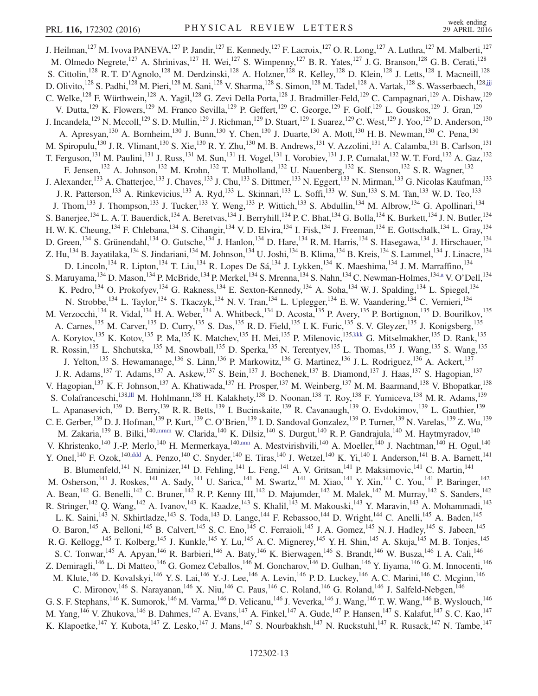<span id="page-12-4"></span><span id="page-12-3"></span><span id="page-12-2"></span><span id="page-12-1"></span><span id="page-12-0"></span>J. Heilman,<sup>127</sup> M. Ivova PANEVA,<sup>127</sup> P. Jandir,<sup>127</sup> E. Kennedy,<sup>127</sup> F. Lacroix,<sup>127</sup> O. R. Long,<sup>127</sup> A. Luthra,<sup>127</sup> M. Malberti,<sup>127</sup> M. Olmedo Negrete,<sup>127</sup> A. Shrinivas,<sup>127</sup> H. Wei,<sup>127</sup> S. Wimpenny,<sup>127</sup> B. R. Yates,<sup>127</sup> J. G. Branson,<sup>128</sup> G. B. Cerati,<sup>128</sup> S. Cittolin,<sup>128</sup> R. T. D'Agnolo,<sup>128</sup> M. Derdzinski,<sup>128</sup> A. Holzner,<sup>128</sup> R. Kelley,<sup>128</sup> D. Klein,<sup>128</sup> J. Letts,<sup>128</sup> I. Macneill,<sup>128</sup> D. Olivito,<sup>128</sup> S. Padhi,<sup>128</sup> M. Pieri,<sup>128</sup> M. Sani,<sup>128</sup> V. Sharma,<sup>128</sup> S. Simon,<sup>128</sup> M. Tadel,<sup>128</sup> A. Vartak,<sup>128</sup> S. Wasserbaech,<sup>12[8,jjj](#page-18-3)</sup> C. Welke,<sup>128</sup> F. Würthwein,<sup>128</sup> A. Yagil,<sup>128</sup> G. Zevi Della Porta,<sup>128</sup> J. Bradmiller-Feld,<sup>129</sup> C. Campagnari,<sup>129</sup> A. Dishaw,<sup>129</sup> V. Dutta,<sup>129</sup> K. Flowers,<sup>129</sup> M. Franco Sevilla,<sup>129</sup> P. Geffert,<sup>129</sup> C. George,<sup>129</sup> F. Golf,<sup>129</sup> L. Gouskos,<sup>129</sup> J. Gran,<sup>129</sup> J. Incandela, <sup>129</sup> N. Mccoll, <sup>129</sup> S. D. Mullin, <sup>129</sup> J. Richman, <sup>129</sup> D. Stuart, <sup>129</sup> I. Suarez, <sup>129</sup> C. West, <sup>129</sup> J. Yoo, <sup>129</sup> D. Anderson, <sup>130</sup> A. Apresyan,<sup>130</sup> A. Bornheim,<sup>130</sup> J. Bunn,<sup>130</sup> Y. Chen,<sup>130</sup> J. Duarte,<sup>130</sup> A. Mott,<sup>130</sup> H. B. Newman,<sup>130</sup> C. Pena,<sup>130</sup> M. Spiropulu,<sup>130</sup> J. R. Vlimant,<sup>130</sup> S. Xie,<sup>130</sup> R. Y. Zhu,<sup>130</sup> M. B. Andrews,<sup>131</sup> V. Azzolini,<sup>131</sup> A. Calamba,<sup>131</sup> B. Carlson,<sup>131</sup> T. Ferguson,<sup>131</sup> M. Paulini,<sup>131</sup> J. Russ,<sup>131</sup> M. Sun,<sup>131</sup> H. Vogel,<sup>131</sup> I. Vorobiev,<sup>131</sup> J. P. Cumalat,<sup>132</sup> W. T. Ford,<sup>132</sup> A. Gaz,<sup>132</sup> F. Jensen,<sup>132</sup> A. Johnson,<sup>132</sup> M. Krohn,<sup>132</sup> T. Mulholland,<sup>132</sup> U. Nauenberg,<sup>132</sup> K. Stenson,<sup>132</sup> S. R. Wagner,<sup>132</sup> J. Alexander,<sup>133</sup> A. Chatterjee,<sup>133</sup> J. Chaves,<sup>133</sup> J. Chu,<sup>133</sup> S. Dittmer,<sup>133</sup> N. Eggert,<sup>133</sup> N. Mirman,<sup>133</sup> G. Nicolas Kaufman,<sup>133</sup> J. R. Patterson,<sup>133</sup> A. Rinkevicius,<sup>133</sup> A. Ryd,<sup>133</sup> L. Skinnari,<sup>133</sup> L. Soffi,<sup>133</sup> W. Sun,<sup>133</sup> S. M. Tan,<sup>133</sup> W. D. Teo,<sup>133</sup> J. Thom,<sup>133</sup> J. Thompson,<sup>133</sup> J. Tucker,<sup>133</sup> Y. Weng,<sup>133</sup> P. Wittich,<sup>133</sup> S. Abdullin,<sup>134</sup> M. Albrow,<sup>134</sup> G. Apollinari,<sup>134</sup> S. Banerjee,<sup>134</sup> L. A. T. Bauerdick,<sup>134</sup> A. Beretvas,<sup>134</sup> J. Berryhill,<sup>134</sup> P. C. Bhat,<sup>134</sup> G. Bolla,<sup>134</sup> K. Burkett,<sup>134</sup> J. N. Butler,<sup>134</sup> H. W. K. Cheung, <sup>134</sup> F. Chlebana, <sup>134</sup> S. Cihangir, <sup>134</sup> V. D. Elvira, <sup>134</sup> I. Fisk, <sup>134</sup> J. Freeman, <sup>134</sup> E. Gottschalk, <sup>134</sup> L. Gray, <sup>134</sup> D. Green,<sup>134</sup> S. Grünendahl,<sup>134</sup> O. Gutsche,<sup>134</sup> J. Hanlon,<sup>134</sup> D. Hare,<sup>134</sup> R. M. Harris,<sup>134</sup> S. Hasegawa,<sup>134</sup> J. Hirschauer,<sup>134</sup> Z. Hu,<sup>134</sup> B. Jayatilaka,<sup>134</sup> S. Jindariani,<sup>134</sup> M. Johnson,<sup>134</sup> U. Joshi,<sup>134</sup> B. Klima,<sup>134</sup> B. Kreis,<sup>134</sup> S. Lammel,<sup>134</sup> J. Linacre,<sup>134</sup> D. Lincoln,<sup>134</sup> R. Lipton,<sup>134</sup> T. Liu,<sup>134</sup> R. Lopes De Sá,<sup>134</sup> J. Lykken,<sup>134</sup> K. Maeshima,<sup>134</sup> J. M. Marraffino,<sup>134</sup> S. Maruyama, <sup>134</sup> D. Mason, <sup>134</sup> P. McBride, <sup>134</sup> P. Merkel, <sup>134</sup> S. Mrenna, <sup>134</sup> S. Nahn, <sup>134</sup> C. Newman-Holmes, <sup>13[4,a](#page-17-30)</sup> V. O'Dell, <sup>134</sup> K. Pedro,<sup>134</sup> O. Prokofyev,<sup>134</sup> G. Rakness,<sup>134</sup> E. Sexton-Kennedy,<sup>134</sup> A. Soha,<sup>134</sup> W. J. Spalding,<sup>134</sup> L. Spiegel,<sup>134</sup> N. Strobbe,<sup>134</sup> L. Taylor,<sup>134</sup> S. Tkaczyk,<sup>134</sup> N. V. Tran,<sup>134</sup> L. Uplegger,<sup>134</sup> E. W. Vaandering,<sup>134</sup> C. Vernieri,<sup>134</sup> M. Verzocchi, <sup>134</sup> R. Vidal, <sup>134</sup> H. A. Weber, <sup>134</sup> A. Whitbeck, <sup>134</sup> D. Acosta, <sup>135</sup> P. Avery, <sup>135</sup> P. Bortignon, <sup>135</sup> D. Bourilkov, <sup>135</sup> A. Carnes,<sup>135</sup> M. Carver,<sup>135</sup> D. Curry,<sup>135</sup> S. Das,<sup>135</sup> R. D. Field,<sup>135</sup> I. K. Furic,<sup>135</sup> S. V. Gleyzer,<sup>135</sup> J. Konigsberg,<sup>135</sup> A. Korytov,<sup>135</sup> K. Kotov,<sup>135</sup> P. Ma,<sup>135</sup> K. Matchev,<sup>135</sup> H. Mei,<sup>135</sup> P. Milenovic,<sup>135[,kkk](#page-18-4)</sup> G. Mitselmakher,<sup>135</sup> D. Rank,<sup>135</sup> R. Rossin,<sup>135</sup> L. Shchutska,<sup>135</sup> M. Snowball,<sup>135</sup> D. Sperka,<sup>135</sup> N. Terentyev,<sup>135</sup> L. Thomas,<sup>135</sup> J. Wang,<sup>135</sup> S. Wang,<sup>135</sup> J. Yelton,<sup>135</sup> S. Hewamanage,<sup>136</sup> S. Linn,<sup>136</sup> P. Markowitz,<sup>136</sup> G. Martinez,<sup>136</sup> J. L. Rodriguez,<sup>136</sup> A. Ackert,<sup>137</sup> J. R. Adams,<sup>137</sup> T. Adams,<sup>137</sup> A. Askew,<sup>137</sup> S. Bein,<sup>137</sup> J. Bochenek,<sup>137</sup> B. Diamond,<sup>137</sup> J. Haas,<sup>137</sup> S. Hagopian,<sup>137</sup> V. Hagopian,<sup>137</sup> K. F. Johnson,<sup>137</sup> A. Khatiwada,<sup>137</sup> H. Prosper,<sup>137</sup> M. Weinberg,<sup>137</sup> M. M. Baarmand,<sup>138</sup> V. Bhopatkar,<sup>138</sup> S. Colafranceschi,<sup>13[8,lll](#page-18-5)</sup> M. Hohlmann,<sup>138</sup> H. Kalakhety,<sup>138</sup> D. Noonan,<sup>138</sup> T. Roy,<sup>138</sup> F. Yumiceva,<sup>138</sup> M. R. Adams,<sup>139</sup> L. Apanasevich,<sup>139</sup> D. Berry,<sup>139</sup> R. R. Betts,<sup>139</sup> I. Bucinskaite,<sup>139</sup> R. Cavanaugh,<sup>139</sup> O. Evdokimov,<sup>139</sup> L. Gauthier,<sup>139</sup> C. E. Gerber,<sup>139</sup> D. J. Hofman,<sup>139</sup> P. Kurt,<sup>139</sup> C. O'Brien,<sup>139</sup> I. D. Sandoval Gonzalez,<sup>139</sup> P. Turner,<sup>139</sup> N. Varelas,<sup>139</sup> Z. Wu,<sup>139</sup> M. Zakaria,<sup>139</sup> B. Bilki,<sup>14[0,mmm](#page-18-6)</sup> W. Clarida,<sup>140</sup> K. Dilsiz,<sup>140</sup> S. Durgut,<sup>140</sup> R. P. Gandrajula,<sup>140</sup> M. Haytmyradov,<sup>140</sup> V. Khristenko,  $^{140}$  J.-P. Merlo,  $^{140}$  H. Mermerkaya,  $^{140,nnn}$  $^{140,nnn}$  $^{140,nnn}$  A. Mestvirishvili,  $^{140}$  A. Moeller,  $^{140}$  J. Nachtman,  $^{140}$  H. Ogul,  $^{140}$ Y. Onel,<sup>140</sup> F. Ozok,<sup>14[0,ddd](#page-17-55)</sup> A. Penzo,<sup>140</sup> C. Snyder,<sup>140</sup> E. Tiras,<sup>140</sup> J. Wetzel,<sup>140</sup> K. Yi,<sup>140</sup> I. Anderson,<sup>141</sup> B. A. Barnett,<sup>141</sup> B. Blumenfeld,<sup>141</sup> N. Eminizer,<sup>141</sup> D. Fehling,<sup>141</sup> L. Feng,<sup>141</sup> A. V. Gritsan,<sup>141</sup> P. Maksimovic,<sup>141</sup> C. Martin,<sup>141</sup> M. Osherson,<sup>141</sup> J. Roskes,<sup>141</sup> A. Sady,<sup>141</sup> U. Sarica,<sup>141</sup> M. Swartz,<sup>141</sup> M. Xiao,<sup>141</sup> Y. Xin,<sup>141</sup> C. You,<sup>141</sup> P. Baringer,<sup>142</sup> A. Bean, <sup>142</sup> G. Benelli, <sup>142</sup> C. Bruner, <sup>142</sup> R. P. Kenny III, <sup>142</sup> D. Majumder, <sup>142</sup> M. Malek, <sup>142</sup> M. Murray, <sup>142</sup> S. Sanders, <sup>142</sup> R. Stringer,<sup>142</sup> Q. Wang,<sup>142</sup> A. Ivanov,<sup>143</sup> K. Kaadze,<sup>143</sup> S. Khalil,<sup>143</sup> M. Makouski,<sup>143</sup> Y. Maravin,<sup>143</sup> A. Mohammadi,<sup>143</sup> L. K. Saini,<sup>143</sup> N. Skhirtladze,<sup>143</sup> S. Toda,<sup>143</sup> D. Lange,<sup>144</sup> F. Rebassoo,<sup>144</sup> D. Wright,<sup>144</sup> C. Anelli,<sup>145</sup> A. Baden,<sup>145</sup> O. Baron,<sup>145</sup> A. Belloni,<sup>145</sup> B. Calvert,<sup>145</sup> S. C. Eno,<sup>145</sup> C. Ferraioli,<sup>145</sup> J. A. Gomez,<sup>145</sup> N. J. Hadley,<sup>145</sup> S. Jabeen,<sup>145</sup> R. G. Kellogg, <sup>145</sup> T. Kolberg, <sup>145</sup> J. Kunkle, <sup>145</sup> Y. Lu, <sup>145</sup> A. C. Mignerey, <sup>145</sup> Y. H. Shin, <sup>145</sup> A. Skuja, <sup>145</sup> M. B. Tonjes, <sup>145</sup> S. C. Tonwar, <sup>145</sup> A. Apyan, <sup>146</sup> R. Barbieri, <sup>146</sup> A. Baty, <sup>146</sup> K. Bierwagen, <sup>146</sup> S. Brandt, <sup>146</sup> W. Busza, <sup>146</sup> I. A. Cali, <sup>146</sup> Z. Demiragli,<sup>146</sup> L. Di Matteo,<sup>146</sup> G. Gomez Ceballos,<sup>146</sup> M. Goncharov,<sup>146</sup> D. Gulhan,<sup>146</sup> Y. Iiyama,<sup>146</sup> G. M. Innocenti,<sup>146</sup> M. Klute,<sup>146</sup> D. Kovalskyi,<sup>146</sup> Y. S. Lai,<sup>146</sup> Y.-J. Lee,<sup>146</sup> A. Levin,<sup>146</sup> P. D. Luckey,<sup>146</sup> A. C. Marini,<sup>146</sup> C. Mcginn,<sup>146</sup> C. Mironov,  $^{146}$  S. Narayanan,  $^{146}$  X. Niu,  $^{146}$  C. Paus,  $^{146}$  C. Roland,  $^{146}$  G. Roland,  $^{146}$  J. Salfeld-Nebgen,  $^{146}$ G. S. F. Stephans,  $^{146}$  K. Sumorok,  $^{146}$  M. Varma,  $^{146}$  D. Velicanu,  $^{146}$  J. Veverka,  $^{146}$  J. Wang,  $^{146}$  T. W. Wang,  $^{146}$  B. Wyslouch,  $^{146}$ M. Yang, <sup>146</sup> V. Zhukova, <sup>146</sup> B. Dahmes, <sup>147</sup> A. Evans, <sup>147</sup> A. Finkel, <sup>147</sup> A. Gude, <sup>147</sup> P. Hansen, <sup>147</sup> S. Kalafut, <sup>147</sup> S. C. Kao, <sup>147</sup> K. Klapoetke,<sup>147</sup> Y. Kubota,<sup>147</sup> Z. Lesko,<sup>147</sup> J. Mans,<sup>147</sup> S. Nourbakhsh,<sup>147</sup> N. Ruckstuhl,<sup>147</sup> R. Rusack,<sup>147</sup> N. Tambe,<sup>147</sup>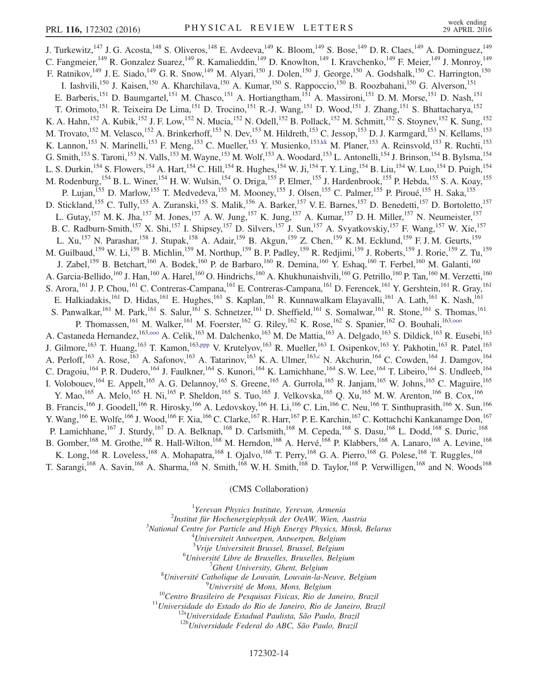J. Turkewitz,<sup>147</sup> J. G. Acosta,<sup>148</sup> S. Oliveros,<sup>148</sup> E. Avdeeva,<sup>149</sup> K. Bloom,<sup>149</sup> S. Bose,<sup>149</sup> D. R. Claes,<sup>149</sup> A. Dominguez,<sup>149</sup> C. Fangmeier,<sup>149</sup> R. Gonzalez Suarez,<sup>149</sup> R. Kamalieddin,<sup>149</sup> D. Knowlton,<sup>149</sup> I. Kravchenko,<sup>149</sup> F. Meier,<sup>149</sup> J. Monroy,<sup>149</sup> F. Ratnikov,<sup>149</sup> J. E. Siado,<sup>149</sup> G. R. Snow,<sup>149</sup> M. Alyari,<sup>150</sup> J. Dolen,<sup>150</sup> J. George,<sup>150</sup> A. Godshalk,<sup>150</sup> C. Harrington,<sup>150</sup> I. Iashvili,<sup>150</sup> J. Kaisen,<sup>150</sup> A. Kharchilava,<sup>150</sup> A. Kumar,<sup>150</sup> S. Rappoccio,<sup>150</sup> B. Roozbahani,<sup>150</sup> G. Alverson,<sup>151</sup> E. Barberis,<sup>151</sup> D. Baumgartel,<sup>151</sup> M. Chasco,<sup>151</sup> A. Hortiangtham,<sup>151</sup> A. Massironi,<sup>151</sup> D. M. Morse,<sup>151</sup> D. Nash,<sup>151</sup> T. Orimoto,<sup>151</sup> R. Teixeira De Lima,<sup>151</sup> D. Trocino,<sup>151</sup> R.-J. Wang,<sup>151</sup> D. Wood,<sup>151</sup> J. Zhang,<sup>151</sup> S. Bhattacharya,<sup>152</sup> K. A. Hahn,<sup>152</sup> A. Kubik,<sup>152</sup> J. F. Low,<sup>152</sup> N. Mucia,<sup>152</sup> N. Odell,<sup>152</sup> B. Pollack,<sup>152</sup> M. Schmitt,<sup>152</sup> S. Stoynev,<sup>152</sup> K. Sung,<sup>152</sup> M. Trovato, <sup>152</sup> M. Velasco, <sup>152</sup> A. Brinkerhoff, <sup>153</sup> N. Dev, <sup>153</sup> M. Hildreth, <sup>153</sup> C. Jessop, <sup>153</sup> D. J. Karmgard, <sup>153</sup> N. Kellams, <sup>153</sup> K. Lannon, <sup>153</sup> N. Marinelli, <sup>153</sup> F. Meng, <sup>153</sup> C. Mueller, <sup>153</sup> Y. Musienko, <sup>153[,kk](#page-17-36)</sup> M. Planer, <sup>153</sup> A. Reinsvold, <sup>153</sup> R. Ruchti, <sup>153</sup> G. Smith,<sup>153</sup> S. Taroni,<sup>153</sup> N. Valls,<sup>153</sup> M. Wayne,<sup>153</sup> M. Wolf,<sup>153</sup> A. Woodard,<sup>153</sup> L. Antonelli,<sup>154</sup> J. Brinson,<sup>154</sup> B. Bylsma,<sup>154</sup> L. S. Durkin,<sup>154</sup> S. Flowers,<sup>154</sup> A. Hart,<sup>154</sup> C. Hill,<sup>154</sup> R. Hughes,<sup>154</sup> W. Ji,<sup>154</sup> T. Y. Ling,<sup>154</sup> B. Liu,<sup>154</sup> W. Luo,<sup>154</sup> D. Puigh,<sup>154</sup> M. Rodenburg, <sup>154</sup> B. L. Winer, <sup>154</sup> H. W. Wulsin, <sup>154</sup> O. Driga, <sup>155</sup> P. Elmer, <sup>155</sup> J. Hardenbrook, <sup>155</sup> P. Hebda, <sup>155</sup> S. A. Koay, <sup>155</sup> P. Lujan,<sup>155</sup> D. Marlow,<sup>155</sup> T. Medvedeva,<sup>155</sup> M. Mooney,<sup>155</sup> J. Olsen,<sup>155</sup> C. Palmer,<sup>155</sup> P. Piroué,<sup>155</sup> H. Saka,<sup>155</sup> D. Stickland,<sup>155</sup> C. Tully,<sup>155</sup> A. Zuranski,<sup>155</sup> S. Malik,<sup>156</sup> A. Barker,<sup>157</sup> V. E. Barnes,<sup>157</sup> D. Benedetti,<sup>157</sup> D. Bortoletto,<sup>157</sup> L. Gutay, <sup>157</sup> M. K. Jha, <sup>157</sup> M. Jones, <sup>157</sup> A. W. Jung, <sup>157</sup> K. Jung, <sup>157</sup> A. Kumar, <sup>157</sup> D. H. Miller, <sup>157</sup> N. Neumeister, <sup>157</sup> B. C. Radburn-Smith,<sup>157</sup> X. Shi,<sup>157</sup> I. Shipsey,<sup>157</sup> D. Silvers,<sup>157</sup> J. Sun,<sup>157</sup> A. Svyatkovskiy,<sup>157</sup> F. Wang,<sup>157</sup> W. Xie,<sup>157</sup> L. Xu,<sup>157</sup> N. Parashar,<sup>158</sup> J. Stupak,<sup>158</sup> A. Adair,<sup>159</sup> B. Akgun,<sup>159</sup> Z. Chen,<sup>159</sup> K. M. Ecklund,<sup>159</sup> F. J. M. Geurts,<sup>159</sup> M. Guilbaud, <sup>159</sup> W. Li, <sup>159</sup> B. Michlin, <sup>159</sup> M. Northup, <sup>159</sup> B. P. Padley, <sup>159</sup> R. Redjimi, <sup>159</sup> J. Roberts, <sup>159</sup> J. Rorie, <sup>159</sup> Z. Tu, <sup>159</sup> J. Zabel,<sup>159</sup> B. Betchart,<sup>160</sup> A. Bodek,<sup>160</sup> P. de Barbaro,<sup>160</sup> R. Demina,<sup>160</sup> Y. Eshaq,<sup>160</sup> T. Ferbel,<sup>160</sup> M. Galanti,<sup>160</sup> A. Garcia-Bellido,<sup>160</sup> J. Han,<sup>160</sup> A. Harel,<sup>160</sup> O. Hindrichs,<sup>160</sup> A. Khukhunaishvili,<sup>160</sup> G. Petrillo,<sup>160</sup> P. Tan,<sup>160</sup> M. Verzetti,<sup>160</sup> S. Arora, <sup>161</sup> J. P. Chou,<sup>161</sup> C. Contreras-Campana, <sup>161</sup> E. Contreras-Campana, <sup>161</sup> D. Ferencek, <sup>161</sup> Y. Gershtein, <sup>161</sup> R. Gray, <sup>161</sup> E. Halkiadakis,<sup>161</sup> D. Hidas,<sup>161</sup> E. Hughes,<sup>161</sup> S. Kaplan,<sup>161</sup> R. Kunnawalkam Elayavalli,<sup>161</sup> A. Lath,<sup>161</sup> K. Nash,<sup>161</sup> S. Panwalkar, <sup>161</sup> M. Park, <sup>161</sup> S. Salur, <sup>161</sup> S. Schnetzer, <sup>161</sup> D. Sheffield, <sup>161</sup> S. Somalwar, <sup>161</sup> R. Stone, <sup>161</sup> S. Thomas, <sup>161</sup> P. Thomassen,<sup>161</sup> M. Walker,<sup>161</sup> M. Foerster,<sup>162</sup> G. Riley,<sup>162</sup> K. Rose,<sup>162</sup> S. Spanier,<sup>162</sup> O. Bouhali,<sup>163,000</sup> A. Castaneda Hernandez,<sup>163,000</sup> A. Celik,<sup>163</sup> M. Dalchenko,<sup>163</sup> M. De Mattia,<sup>163</sup> A. Delgado,<sup>163</sup> S. Dildick,<sup>163</sup> R. Eusebi,<sup>163</sup> J. Gilmore,<sup>163</sup> T. Huang,<sup>163</sup> T. Kamon,<sup>16[3,ppp](#page-18-9)</sup> V. Krutelyov,<sup>163</sup> R. Mueller,<sup>163</sup> I. Osipenkov,<sup>163</sup> Y. Pakhotin,<sup>163</sup> R. Patel,<sup>163</sup> A. Perloff,<sup>163</sup> A. Rose,<sup>163</sup> A. Safonov,<sup>163</sup> A. Tatarinov,<sup>163</sup> K. A. Ulmer,<sup>163[,c](#page-17-1)</sup> N. Akchurin,<sup>164</sup> C. Cowden,<sup>164</sup> J. Damgov,<sup>164</sup> C. Dragoiu, <sup>164</sup> P. R. Dudero, <sup>164</sup> J. Faulkner, <sup>164</sup> S. Kunori, <sup>164</sup> K. Lamichhane, <sup>164</sup> S. W. Lee, <sup>164</sup> T. Libeiro, <sup>164</sup> S. Undleeb, <sup>164</sup> I. Volobouev, <sup>164</sup> E. Appelt, <sup>165</sup> A. G. Delannoy, <sup>165</sup> S. Greene, <sup>165</sup> A. Gurrola, <sup>165</sup> R. Janjam, <sup>165</sup> W. Johns, <sup>165</sup> C. Maguire, <sup>165</sup> Y. Mao,<sup>165</sup> A. Melo,<sup>165</sup> H. Ni,<sup>165</sup> P. Sheldon,<sup>165</sup> S. Tuo,<sup>165</sup> J. Velkovska,<sup>165</sup> Q. Xu,<sup>165</sup> M. W. Arenton,<sup>166</sup> B. Cox,<sup>166</sup> B. Francis,  $^{166}$  J. Goodell,  $^{166}$  R. Hirosky,  $^{166}$  A. Ledovskoy,  $^{166}$  H. Li,  $^{166}$  C. Lin,  $^{166}$  C. Neu,  $^{166}$  T. Sinthuprasith,  $^{166}$  X. Sun,  $^{166}$ Y. Wang, <sup>166</sup> E. Wolfe, <sup>166</sup> J. Wood, <sup>166</sup> F. Xia, <sup>166</sup> C. Clarke, <sup>167</sup> R. Harr, <sup>167</sup> P. E. Karchin, <sup>167</sup> C. Kottachchi Kankanamge Don, <sup>167</sup> P. Lamichhane,<sup>167</sup> J. Sturdy,<sup>167</sup> D. A. Belknap,<sup>168</sup> D. Carlsmith,<sup>168</sup> M. Cepeda,<sup>168</sup> S. Dasu,<sup>168</sup> L. Dodd,<sup>168</sup> S. Duric,<sup>168</sup> B. Gomber,<sup>168</sup> M. Grothe,<sup>168</sup> R. Hall-Wilton,<sup>168</sup> M. Herndon,<sup>168</sup> A. Hervé,<sup>168</sup> P. Klabbers,<sup>168</sup> A. Lanaro,<sup>168</sup> A. Levine,<sup>168</sup> K. Long,  $^{168}$  R. Loveless,  $^{168}$  A. Mohapatra,  $^{168}$  I. Ojalvo,  $^{168}$  T. Perry,  $^{168}$  G. A. Pierro,  $^{168}$  G. Polese,  $^{168}$  T. Ruggles,  $^{168}$ T. Sarangi,<sup>168</sup> A. Savin,<sup>168</sup> A. Sharma,<sup>168</sup> N. Smith,<sup>168</sup> W. H. Smith,<sup>168</sup> D. Taylor,<sup>168</sup> P. Verwilligen,<sup>168</sup> and N. Woods<sup>168</sup>

## (CMS Collaboration)

<span id="page-13-1"></span><span id="page-13-0"></span><sup>1</sup>Yerevan Physics Institute, Yerevan, Armenia<sup>2</sup>Institute *Servan Physics Institute*, *New Ocal W. Wign A*  $2$ Institut für Hochenergiephysik der OeAW, Wien, Austria  $3$ National Centre for Particle and High Energy Physics, Minsk, Belarus  $^{4}$ Universiteit Antwerpen, Antwerpen, Belgium <sup>5</sup>Vrije Universiteit Brussel, Brussel, Belgium<br><sup>6</sup>Université Libre de Pruxelles, Pruxelles, Belgium  ${}^{6}$ Université Libre de Bruxelles, Bruxelles, Belgium  $^7$ Ghent University, Ghent, Belgium  ${}^8$ Université Catholique de Louvain, Louvain-la-Neuve, Belgium  ${}^9$ Université de Mons, Mons, Belgium <sup>10</sup>Centro Brasileiro de Pesquisas Fisicas, Rio de Janeiro, Brazil<sup>11</sup>Universidade do Estado do Rio de Janeiro, Rio de Janeiro, Brazil<sup>11</sup>Universidade Estadual Paulista, São Paulo, Brazil<sup>12b</sup>Universidade Federal do ABC,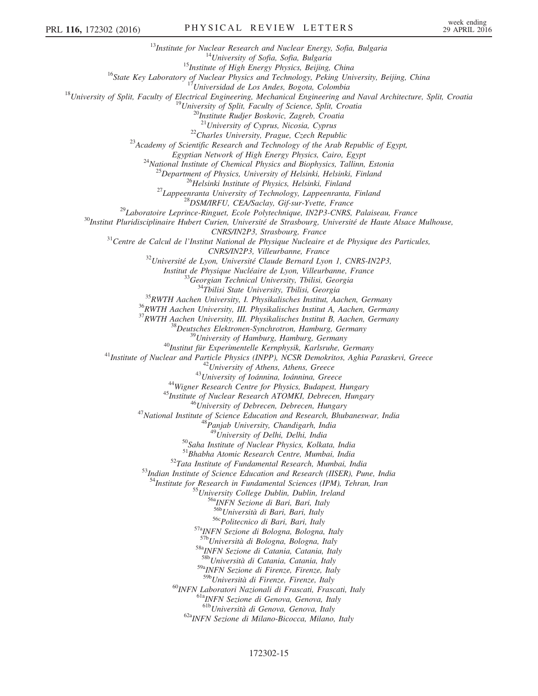<sup>13</sup>Institute for Nuclear Research and Nuclear Energy, Sofia, Bulgaria<br><sup>14</sup>University of Sofia, Sofia, Bulgaria<br><sup>15</sup>Institute of High Energy Physics, Beijing, China<br><sup>16</sup>State Key Laboratory of Nuclear Physics and Technolo <sup>22</sup>Charles University, Prague, Czech Republic <sup>23</sup>Academy of Scientific Research and Technology of the Arab Republic of Egypt, Egyptian Network of High Energy Physics, Cairo, Egypt<br><sup>24</sup>National Institute of Chemical Physics and Biophysics, Tallinn, Estonia<br><sup>25</sup>Department of Physics, University of Helsinki, Helsinki, Finland<br><sup>26</sup>Helsinki Institute  $31$ Centre de Calcul de l'Institut National de Physique Nucleaire et de Physique des Particules,<br>CNRS/IN2P3, Villeurbanne, France  $^{32}$ Université de Lyon, Université Claude Bernard Lyon 1, CNRS-IN2P3, *Institut de Physique Nucléaire de Lyon, Villeurbanne, France*<br><sup>33</sup> Georgian Technical University, Tbilisi, Georgia<br><sup>34</sup>Tbilisi State University, Tbilisi, Georgia<br><sup>35</sup> RWTH Aachen University, II. Physikalisches Institut A <sup>37</sup>RWTH Aachen University, III. Physikalisches Institut B, Aachen, Germany<br><sup>38</sup>Deutsches Elektronen-Synchrotron, Hamburg, Germany<br><sup>39</sup>University of Hamburg, Hamburg, Germany<br><sup>40</sup>Institut für Experimentelle Kernphysik, Ka <sup>48</sup>Panjab University, Chandigarh, India<br><sup>49</sup>University of Delhi, Delhi, India<br><sup>50</sup>Saha Institute of Nuclear Physics, Kolkata, India<br><sup>51</sup>Bhabha Atomic Research Centre, Mumbai, India  $52$ Tata Institute of Fundamental Research, Mumbai, India  $53$ Indian Institute of Science Education and Research (IISER), Pune, India <sup>4</sup>Institute for Research in Fundamental Sciences (IPM), Tehran, Iran  $^{55}$ University College Dublin, Dublin, Ireland  $^{56a}$ INFN Sezione di Bari, Bari, Italy  $^{56b}$ Università di Bari, Bari, Italy <sup>56</sup><sup>6</sup>Politecnico di Bari, Bari, Italy<br><sup>57a</sup>INFN Sezione di Bologna, Bologna, Italy<br><sup>57b</sup>Università di Bologna, Bologna, Italy 58a<sub>INFN</sub> Sezione di Catania, Catania, Italy 58bUniversità di Catania, Catania, Italy <sup>59a</sup>INFN Sezione di Firenze, Firenze, Italy<br><sup>59b</sup>Università di Firenze, Firenze, Italy <sup>60</sup>INFN Laboratori Nazionali di Frascati, Frascati, Italy <sup>61a</sup>INFN Sezione di Genova, Genova, Italy <sup>61b</sup>Università di Genova, Genova, Italy 62a<sub>INFN</sub> Sezione di Milano-Bicocca, Milano, Italy

## 172302-15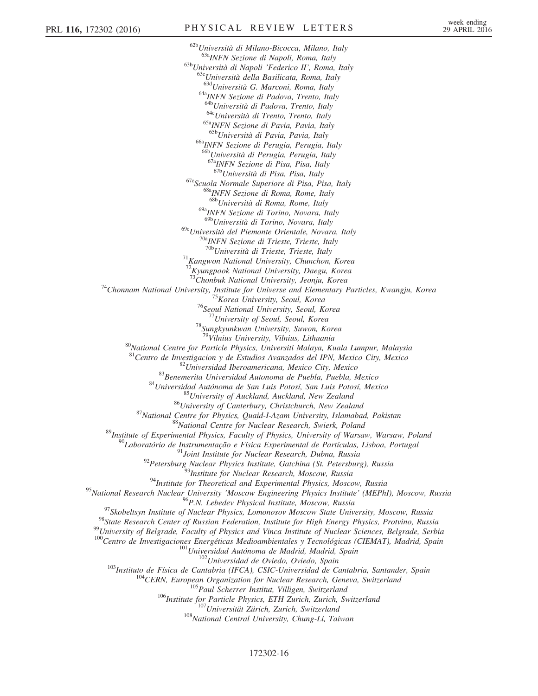$^{62b}$ Università di Milano-Bicocca, Milano, Italy<br> $^{63a}$ INFN Sezione di Napoli, Roma, Italy  $\frac{63b}{b}$ Università di Napoli 'Federico II', Roma, Italy  $\frac{63c}{b}$ Università della Basilicata, Roma, Italy 63d Università G. Marconi, Roma, Italy <sup>64a</sup>INFN Sezione di Padova, Trento, Italy<br><sup>64b</sup>Università di Padova, Trento, Italy <sup>64c</sup>Università di Trento, Trento, Italy <sup>65a</sup>INFN Sezione di Pavia, Pavia, Italy <sup>65b</sup>Università di Pavia, Pavia, Italy <sup>66a</sup>INFN Sezione di Perugia, Perugia, Italy 66bUniversità di Perugia, Perugia, Italy  $^{67a}$ INFN Sezione di Pisa, Pisa, Italy<br> $^{67b}$ Università di Pisa, Pisa, Italy <sup>67c</sup>Scuola Normale Superiore di Pisa, Pisa, Italy<br><sup>68a</sup>INFN Sezione di Roma, Rome, Italy 68bUniversità di Roma, Rome, Italy 69aINFN Sezione di Torino, Novara, Italy <sup>69b</sup>Università di Torino, Novara, Italy <sup>69c</sup>Università del Piemonte Orientale, Novara, Italy<br><sup>70a</sup>INFN Sezione di Trieste, Trieste, Italy<br><sup>70b</sup>Università di Trieste, Trieste, Italy  $71$ Kangwon National University, Chunchon, Korea  $^{72}$ Kyungpook National University, Daegu, Korea<br> $^{73}$ Chonbuk National University, Jeonju, Korea <sup>74</sup>Chonnam National University, Justitute for Universe and Elementary Particles, Kwangju, Korea <sup>75</sup>Korea University, Seoul, Korea 76Seoul National University, Seoul, Korea 77University of Seoul, Seoul, Korea 77Universit <sup>78</sup>Sungkyunkwan University, Suwon, Korea<br><sup>79</sup>Vilnius University, Vilnius, Lithuania <sup>80</sup>National Centre for Particle Physics, Universiti Malaya, Kuala Lumpur, Malaysia<br><sup>81</sup>Centro de Investigacion y de Estudios Avanzados del IPN, Mexico City, Mexico <sup>81</sup>Centro de Investigacion y de Estudios Avanzados del IPN, Mexico City, Mexico <sup>82</sup>Universidad Iberoamericana, Mexico City, Mexico <sup>83</sup>Benemerita Universidad Autonoma de Puebla, Puebla, Mexico <sup>84</sup>Universidad Autónoma de San Luis Potosí, San Luis Potosí, Mexico <sup>85</sup>University of Auckland, Auckland, New Zealand <sup>86</sup>University of Canterbury, Christchurch, New Zealand <sup>87</sup>National Centre for Physics, Quaid-I-Azam University, Islamabad, Pakistan <sup>88</sup>National Centre for Nuclear Research, Swierk, Poland <sup>89</sup>Institute of Experimental Physics, Faculty of Physics, University of Warsaw, Warsaw, Poland <sup>90</sup>Laboratório de Instrumentação e Física Experimental de Partículas, Lisboa, Portugal <sup>91</sup>Joint Institute for Nuclear Research, Dubna, Russia <sup>92</sup>Petersburg Nuclear Physics Institute, Gatchina (St. Petersburg), Russia <sup>93</sup>Institute for Nuclear Research, Moscow, Russia <sup>94</sup>Institute for Theoretical and Experimental Physics, Moscow, Russia <sup>95</sup>National Research Nuclear University 'Moscow Engineering Physics Institute' (MEPhI), Moscow, Russia<br><sup>96</sup>P.N. Lebedev Physical Institute, Moscow, Russia <sup>97</sup>Skobeltsyn Institute of Nuclear Physics, Lomonosov Moscow State University, Moscow, Russia<br><sup>98</sup>State Research Center of Russian Federation, Institute for High Energy Physics, Protvino, Russia<br><sup>99</sup>University of Belgrad  $100 \text{Centro de Investigaciones. Energéticas Medioambientales y Tecnológicas (CIEMAT), Madrid, Spain \\ 101 \text{Universidad Autónoma de Madrid, Madrid, Spain} \\ 102 \text{Universidad de Oviedo, Oviedo, Spain} \\ 103 \text{Instituto de Física de Cantabria (IFCA), CSC-Universidad de Cantabria, Santander, Spain} \\ 104 \text{CERN, European Organization for Nuclear Research, Geneva, Switzerland} \\ 105 \text{Paul Scherrer Institute, Villigen, Switzerland} \\ 106 \text{Institute for Particle Physics, ETH Zurich, Zurich, Switzerland} \\ 107 \text{Universität Zürich, Zurich, Switzerland} \\ 108 \text{National Central University, Chung-Li, Taiwan}$ 

## 172302-16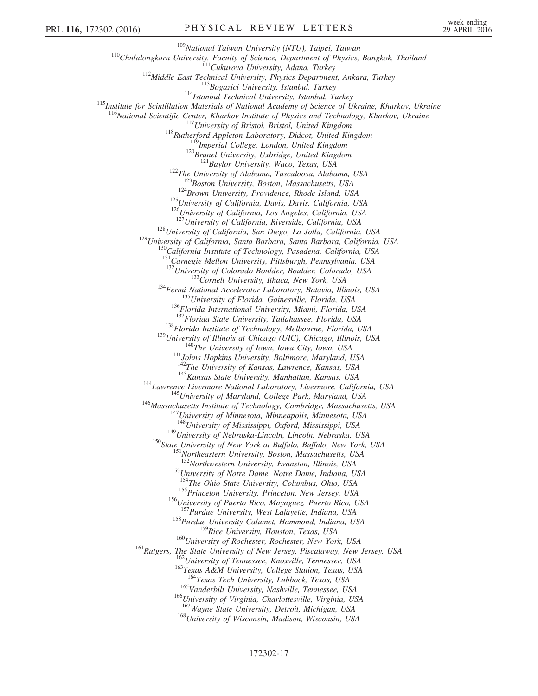<sup>109</sup>National Taiwan University (NTU), Taipei, Taiwan<br><sup>110</sup>Chulalongkorn University, Faculty of Science, Department of Physics, Bangkok, Thailand<br><sup>112</sup>Middle East Technical University, Physics Department, Ankara, Turkey<br><sup></sup> <sup>116</sup>National Scientific Center, Kharkov Institute of Physics and Technology, Kharkov, Ukraine<br><sup>117</sup>University of Bristol, Bristol, United Kingdom<br><sup>118</sup>Rutherford Appleton Laboratory, Didcot, United Kingdom<br><sup>119</sup>Imperial <sup>124</sup>Brown University, Providence, Rhode Island, USA <sup>125</sup>University of California, Davis, Davis, California, USA <sup>126</sup>University of California, Los Angeles, California, USA <sup>127</sup>University of California, Riverside, Calif <sup>128</sup> University of California, San Diego, La Jolla, California, USA<br><sup>129</sup> University of California, Santa Barbara, Santa Barbara, California, USA<br><sup>130</sup> California Institute of Technology, Pasadena, California, USA 131<br>Carnegie Mellon University, Pittsburgh, Pennsylvania, USA<br><sup>132</sup>University of Colorado Boulder, Boulder, Colorado, USA <sup>133</sup>Cornell University, Ithaca, New York, USA<br><sup>134</sup>Fermi National Accelerator Laboratory, Batavia, Illinois, USA<br><sup>135</sup>University of Florida, Gainesville, Florida, USA<br><sup>136</sup>Florida International University, Miami, Florida <sup>138</sup>Florida Institute of Technology, Melbourne, Florida, USA<br><sup>139</sup>University of Illinois at Chicago (UIC), Chicago, Illinois, USA<br><sup>140</sup>The University of Iowa, Iowa City, Iowa, USA<br><sup>141</sup>Johns Hopkins University, Baltimore <sup>143</sup> Kansas State University, Manhattan, Kansas, USA<br><sup>144</sup> Lawrence Livermore National Laboratory, Livermore, California, USA<br><sup>145</sup> University of Maryland, College Park, Maryland, USA<br><sup>146</sup> Massachusetts Institute of Tec  $^{149}$ University of Nebraska-Lincoln, Lincoln, Nebraska, USA<br> $^{150}$ State University of New York at Buffalo, Buffalo, New York, USA<br> $^{151}$ Northeastern University, Boston, Massachusetts, USA<br> $^{151}$ Northwestern Universit <sup>153</sup>University of Notre Dame, Notre Dame, Indiana, USA <sup>154</sup>The Ohio State University, Columbus, Ohio, USA <sup>155</sup>Princeton University, Princeton, New Jersey, USA  $^{156}$ University of Puerto Rico, Mayaguez, Puerto Rico, USA  $^{157}$ Purdue University, West Lafayette, Indiana, USA <sup>158</sup>Purdue University Calumet, Hammond, Indiana, USA <sup>159</sup>Rice University, Houston, Texas, USA <sup>160</sup>University of Rochester, Rochester, New York, USA<br><sup>161</sup>Rutgers, The State University of New Jersey, Piscataway, New Jersey, USA<br><sup>162</sup>University of Tennessee, Knoxville, Tennessee, USA<br><sup>164</sup>Texas A&M University, Colle <sup>165</sup>Vanderbilt University, Nashville, Tennessee, USA <sup>166</sup>University of Virginia, Charlottesville, Virginia, USA <sup>167</sup>Wayne State University, Detroit, Michigan, USA <sup>168</sup>University of Wisconsin, Madison, Wisconsin, USA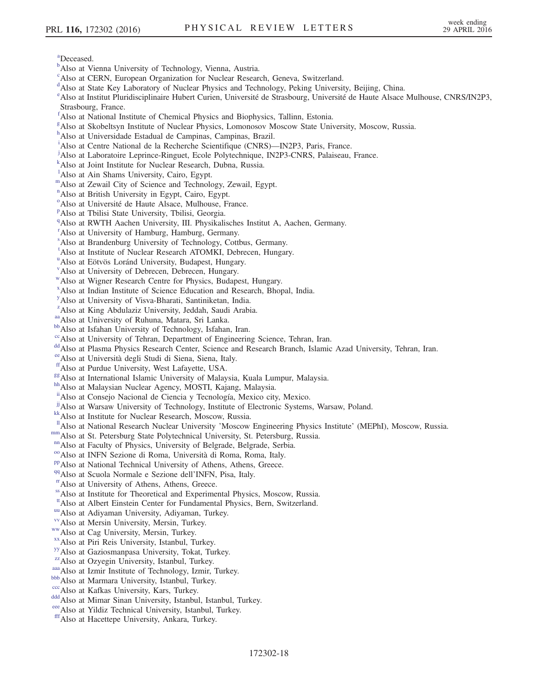<span id="page-17-30"></span>[a](#page-9-0) Deceased.

- <span id="page-17-0"></span><sup>[b](#page-7-13)</sup>Also at Vienna University of Technology, Vienna, Austria.
- <span id="page-17-1"></span><sup>[c](#page-7-14)</sup>Also at CERN, European Organization for Nuclear Research, Geneva, Switzerland.
- <span id="page-17-2"></span><sup>[d](#page-7-15)</sup>Also at State Key Laboratory of Nuclear Physics and Technology, Peking University, Beijing, China.

<span id="page-17-3"></span>[e](#page-7-16) Also at Institut Pluridisciplinaire Hubert Curien, Université de Strasbourg, Université de Haute Alsace Mulhouse, CNRS/IN2P3, Strasbourg, France.

- <span id="page-17-4"></span>[f](#page-7-17) Also at National Institute of Chemical Physics and Biophysics, Tallinn, Estonia.
- <span id="page-17-5"></span>[g](#page-7-18) Also at Skobeltsyn Institute of Nuclear Physics, Lomonosov Moscow State University, Moscow, Russia.
- <span id="page-17-6"></span><sup>[h](#page-8-0)</sup>Also at Universidade Estadual de Campinas, Campinas, Brazil.
- <span id="page-17-7"></span><sup>[i](#page-8-1)</sup>Also at Centre National de la Recherche Scientifique (CNRS)—IN2P3, Paris, France.
- <span id="page-17-8"></span>[j](#page-8-2) Also at Laboratoire Leprince-Ringuet, Ecole Polytechnique, IN2P3-CNRS, Palaiseau, France.
- <span id="page-17-9"></span>[k](#page-8-3) Also at Joint Institute for Nuclear Research, Dubna, Russia.
- <span id="page-17-10"></span><sup>1</sup>A[l](#page-8-4)so at Ain Shams University, Cairo, Egypt.
- <span id="page-17-11"></span>[m](#page-8-4)Also at Zewail City of Science and Technology, Zewail, Egypt.
- <span id="page-17-12"></span>[n](#page-8-4) Also at British University in Egypt, Cairo, Egypt.
- <span id="page-17-13"></span><sup>[o](#page-8-5)</sup>Also at Université de Haute Alsace, Mulhouse, France.
- <span id="page-17-14"></span><su[p](#page-8-3)>p</sup>Also at Tbilisi State University, Tbilisi, Georgia.
- <span id="page-17-15"></span><sup>[q](#page-8-6)</sup>Also at RWTH Aachen University, III. Physikalisches Institut A, Aachen, Germany.
- <span id="page-17-16"></span><sup>[r](#page-8-7)</sup> Also at University of Hamburg, Hamburg, Germany.
- <span id="page-17-17"></span>[s](#page-8-8) Also at Brandenburg University of Technology, Cottbus, Germany.
- <span id="page-17-18"></span><sup>[t](#page-9-1)</sup>Also at Institute of Nuclear Research ATOMKI, Debrecen, Hungary.
- <span id="page-17-19"></span><s[u](#page-9-1)p>u</sup> Also at Eötvös Loránd University, Budapest, Hungary.
- <span id="page-17-20"></span><sup>[v](#page-9-2)</sup>Also at University of Debrecen, Debrecen, Hungary.
- <span id="page-17-21"></span>[w](#page-9-2)Also at Wigner Research Centre for Physics, Budapest, Hungary.
- <span id="page-17-22"></span>[x](#page-9-3) Also at Indian Institute of Science Education and Research, Bhopal, India.
- <span id="page-17-23"></span><sup>[y](#page-9-4)</sup> Also at University of Visva-Bharati, Santiniketan, India.
- <span id="page-17-24"></span><sup>[z](#page-9-5)</sup>Also at King Abdulaziz University, Jeddah, Saudi Arabia.
- <span id="page-17-26"></span>
- <span id="page-17-27"></span>
- <span id="page-17-25"></span>[aa](#page-9-4) Also at University of Ruhuna, Matara, Sri Lanka.<br>[bb](#page-9-6) Also at Isfahan University of Technology, Isfahan, Iran.<br><sup>cc</sup> Also at University of Tehran, Department of Engineering Science, Tehran, Iran.
- <span id="page-17-28"></span><sup>[dd](#page-9-7)</sup> Also at Plasma Physics Research Center, Science and Research Branch, Islamic Azad University, Tehran, Iran.
- <span id="page-17-29"></span>[ee](#page-9-0) Also at Università degli Studi di Siena, Siena, Italy.<br>
<sup>ff</sup>Also at Purdue University, West Lafayette, USA.
- <span id="page-17-31"></span>
- <span id="page-17-32"></span><sup>[gg](#page-10-1)</sup>Also at International Islamic University of Malaysia, Kuala Lumpur, Malaysia. [hh](#page-10-1)<br>hhAlso at Malaysian Nuclear Agency, MOSTI, Kajang, Malaysia.
- <span id="page-17-33"></span>
- <span id="page-17-34"></span>[ii](#page-10-2)Also at Consejo Nacional de Ciencia y Tecnología, Mexico city, Mexico.
- <span id="page-17-35"></span><sup>[jj](#page-10-3)</sup>Also at Warsaw University of Technology, Institute of Electronic Systems, Warsaw, Poland. [kk](#page-10-4)Also at Institute for Nuclear Research, Moscow, Russia.
- <span id="page-17-36"></span>
- <span id="page-17-38"></span><sup>11</sup>Also at National Research Nuclear University 'Moscow Engineering Physics Institute' (MEPhI), Moscow, Russia.<br><sup>nm</sup>Also at St. Petersburg State Polytechnical University, St. Petersburg, Russia.<br><sup>nm</sup>Also at Faculty of Ph
- <span id="page-17-37"></span>
- <span id="page-17-39"></span>
- <span id="page-17-40"></span>
- <span id="page-17-41"></span>
- <span id="page-17-42"></span>
- <span id="page-17-43"></span>
- <span id="page-17-44"></span>[ss](#page-11-3) Also at Institute for Theoretical and Experimental Physics, Moscow, Russia.
- <span id="page-17-45"></span><sup>[tt](#page-11-4)</sup> Also at Albert Einstein Center for Fundamental Physics, Bern, Switzerland.<br>
<sup>[uu](#page-11-5)</sup> Also at Adiyaman University, Adiyaman, Turkey.<br>
<sup>[vv](#page-11-6)</sup> Also at Mersin University, Mersin, Turkey.<br>
<sup>[ww](#page-11-6)</sup> Also at Cag University, Mersin, T
- <span id="page-17-46"></span>
- <span id="page-17-47"></span>
- <span id="page-17-48"></span>
- <span id="page-17-49"></span>
- <span id="page-17-50"></span>
- <span id="page-17-51"></span>
- 
- <span id="page-17-53"></span>
- <span id="page-17-55"></span><span id="page-17-54"></span>
- <span id="page-17-52"></span>[aaa](#page-11-7) Also at Izmir Institute of Technology, Izmir, Turkey.<br>[bbb](#page-11-7) Also at Marmara University, Istanbul, Turkey.<br>[ccc](#page-11-8) Also at Kafkas University, Kars, Turkey.<br>[ddd](#page-11-8) Also at Mimar Sinan University, Istanbul, Istanbul, Turkey.<br>ecc A
- <span id="page-17-56"></span>
- <span id="page-17-57"></span>[fff](#page-11-8) Also at Hacettepe University, Ankara, Turkey.